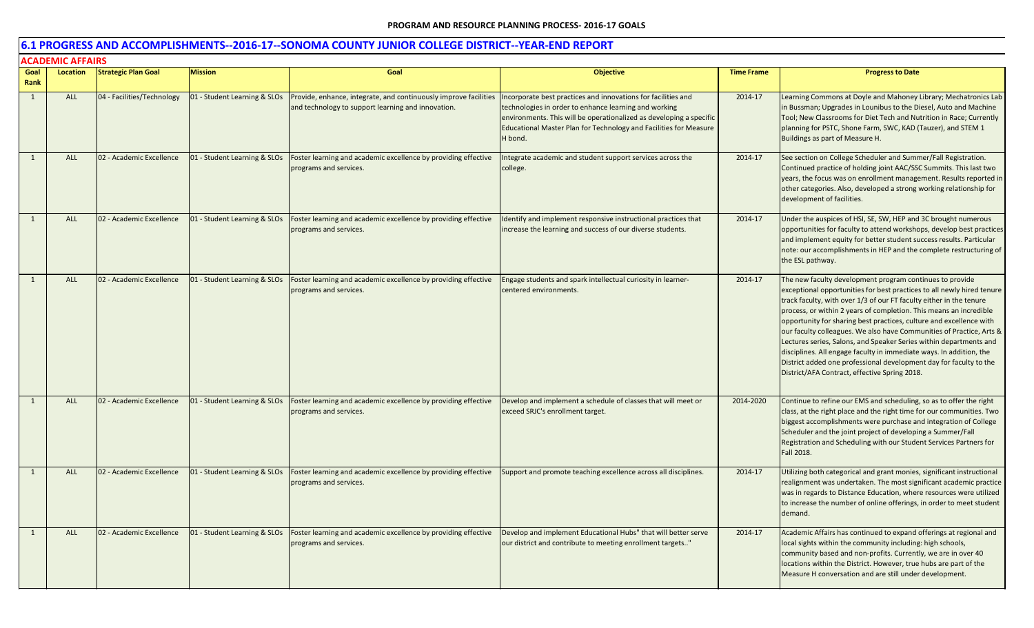|                | <b>ACADEMIC AFFAIRS</b> |                            |                              |                                                                                                                        |                                                                                                                                                                                                                                                                               |                   |                                                                                                                                                                                                                                                                                                                                                                                                                                                                                                                                                                                                                                                                                                    |  |  |
|----------------|-------------------------|----------------------------|------------------------------|------------------------------------------------------------------------------------------------------------------------|-------------------------------------------------------------------------------------------------------------------------------------------------------------------------------------------------------------------------------------------------------------------------------|-------------------|----------------------------------------------------------------------------------------------------------------------------------------------------------------------------------------------------------------------------------------------------------------------------------------------------------------------------------------------------------------------------------------------------------------------------------------------------------------------------------------------------------------------------------------------------------------------------------------------------------------------------------------------------------------------------------------------------|--|--|
| Goal           | Location                | <b>Strategic Plan Goal</b> | <b>Mission</b>               | Goal                                                                                                                   | <b>Objective</b>                                                                                                                                                                                                                                                              | <b>Time Frame</b> | <b>Progress to Date</b>                                                                                                                                                                                                                                                                                                                                                                                                                                                                                                                                                                                                                                                                            |  |  |
| Rank<br>1      | ALL                     | 04 - Facilities/Technology | 01 - Student Learning & SLOs | Provide, enhance, integrate, and continuously improve facilities<br>and technology to support learning and innovation. | Incorporate best practices and innovations for facilities and<br>technologies in order to enhance learning and working<br>environments. This will be operationalized as developing a specific<br>Educational Master Plan for Technology and Facilities for Measure<br>H bond. | 2014-17           | Learning Commons at Doyle and Mahoney Library; Mechatronics Lab<br>in Bussman; Upgrades in Lounibus to the Diesel, Auto and Machine<br>Tool; New Classrooms for Diet Tech and Nutrition in Race; Currently<br>planning for PSTC, Shone Farm, SWC, KAD (Tauzer), and STEM 1<br>Buildings as part of Measure H.                                                                                                                                                                                                                                                                                                                                                                                      |  |  |
| $\mathbf{1}$   | <b>ALL</b>              | 02 - Academic Excellence   | 01 - Student Learning & SLOs | Foster learning and academic excellence by providing effective<br>programs and services.                               | Integrate academic and student support services across the<br>college.                                                                                                                                                                                                        | 2014-17           | See section on College Scheduler and Summer/Fall Registration.<br>Continued practice of holding joint AAC/SSC Summits. This last two<br>years, the focus was on enrollment management. Results reported in<br>other categories. Also, developed a strong working relationship for<br>development of facilities.                                                                                                                                                                                                                                                                                                                                                                                    |  |  |
| 1              | <b>ALL</b>              | 02 - Academic Excellence   | 01 - Student Learning & SLOs | Foster learning and academic excellence by providing effective<br>programs and services.                               | Identify and implement responsive instructional practices that<br>increase the learning and success of our diverse students.                                                                                                                                                  | 2014-17           | Under the auspices of HSI, SE, SW, HEP and 3C brought numerous<br>opportunities for faculty to attend workshops, develop best practices<br>and implement equity for better student success results. Particular<br>note: our accomplishments in HEP and the complete restructuring of<br>the ESL pathway.                                                                                                                                                                                                                                                                                                                                                                                           |  |  |
| $\mathbf{1}$   | ALL                     | 02 - Academic Excellence   | 01 - Student Learning & SLOs | Foster learning and academic excellence by providing effective<br>programs and services.                               | Engage students and spark intellectual curiosity in learner-<br>centered environments.                                                                                                                                                                                        | 2014-17           | The new faculty development program continues to provide<br>exceptional opportunities for best practices to all newly hired tenure<br>track faculty, with over 1/3 of our FT faculty either in the tenure<br>process, or within 2 years of completion. This means an incredible<br>opportunity for sharing best practices, culture and excellence with<br>our faculty colleagues. We also have Communities of Practice, Arts &<br>Lectures series, Salons, and Speaker Series within departments and<br>disciplines. All engage faculty in immediate ways. In addition, the<br>District added one professional development day for faculty to the<br>District/AFA Contract, effective Spring 2018. |  |  |
| $\overline{1}$ | ALL                     | 02 - Academic Excellence   | 01 - Student Learning & SLOs | Foster learning and academic excellence by providing effective<br>programs and services.                               | Develop and implement a schedule of classes that will meet or<br>exceed SRJC's enrollment target.                                                                                                                                                                             | 2014-2020         | Continue to refine our EMS and scheduling, so as to offer the right<br>class, at the right place and the right time for our communities. Two<br>biggest accomplishments were purchase and integration of College<br>Scheduler and the joint project of developing a Summer/Fall<br>Registration and Scheduling with our Student Services Partners for<br>Fall 2018.                                                                                                                                                                                                                                                                                                                                |  |  |
| 1              | <b>ALL</b>              | 02 - Academic Excellence   | 01 - Student Learning & SLOs | Foster learning and academic excellence by providing effective<br>programs and services.                               | Support and promote teaching excellence across all disciplines.                                                                                                                                                                                                               | 2014-17           | Utilizing both categorical and grant monies, significant instructional<br>realignment was undertaken. The most significant academic practice<br>was in regards to Distance Education, where resources were utilized<br>to increase the number of online offerings, in order to meet student<br>demand.                                                                                                                                                                                                                                                                                                                                                                                             |  |  |
| 1              | ALL                     | 02 - Academic Excellence   | 01 - Student Learning & SLOs | Foster learning and academic excellence by providing effective<br>programs and services.                               | Develop and implement Educational Hubs" that will better serve<br>our district and contribute to meeting enrollment targets"                                                                                                                                                  | 2014-17           | Academic Affairs has continued to expand offerings at regional and<br>local sights within the community including: high schools,<br>community based and non-profits. Currently, we are in over 40<br>locations within the District. However, true hubs are part of the<br>Measure H conversation and are still under development.                                                                                                                                                                                                                                                                                                                                                                  |  |  |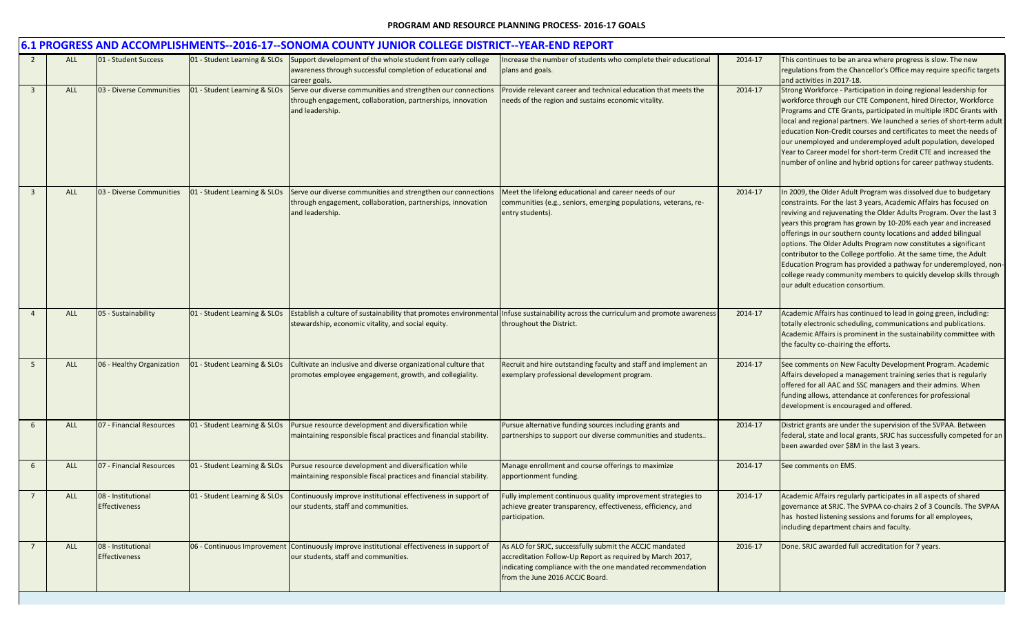|                |            |                                            |                              | 6.1 PROGRESS AND ACCOMPLISHMENTS--2016-17--SONOMA COUNTY JUNIOR COLLEGE DISTRICT--YEAR-END REPORT                                              |                                                                                                                                                                                                                       |         |                                                                                                                                                                                                                                                                                                                                                                                                                                                                                                                                                                                                                                                                      |
|----------------|------------|--------------------------------------------|------------------------------|------------------------------------------------------------------------------------------------------------------------------------------------|-----------------------------------------------------------------------------------------------------------------------------------------------------------------------------------------------------------------------|---------|----------------------------------------------------------------------------------------------------------------------------------------------------------------------------------------------------------------------------------------------------------------------------------------------------------------------------------------------------------------------------------------------------------------------------------------------------------------------------------------------------------------------------------------------------------------------------------------------------------------------------------------------------------------------|
|                | <b>ALL</b> | 01 - Student Success                       | 01 - Student Learning & SLOs | Support development of the whole student from early college<br>awareness through successful completion of educational and<br>career goals.     | Increase the number of students who complete their educational<br>plans and goals.                                                                                                                                    | 2014-17 | This continues to be an area where progress is slow. The new<br>regulations from the Chancellor's Office may require specific targets<br>and activities in 2017-18.                                                                                                                                                                                                                                                                                                                                                                                                                                                                                                  |
| $\overline{3}$ | ALL        | 03 - Diverse Communities                   | 01 - Student Learning & SLOs | Serve our diverse communities and strengthen our connections<br>through engagement, collaboration, partnerships, innovation<br>and leadership. | Provide relevant career and technical education that meets the<br>needs of the region and sustains economic vitality.                                                                                                 | 2014-17 | Strong Workforce - Participation in doing regional leadership for<br>workforce through our CTE Component, hired Director, Workforce<br>Programs and CTE Grants, participated in multiple IRDC Grants with<br>local and regional partners. We launched a series of short-term adult<br>education Non-Credit courses and certificates to meet the needs of<br>our unemployed and underemployed adult population, developed<br>Year to Career model for short-term Credit CTE and increased the<br>number of online and hybrid options for career pathway students.                                                                                                     |
| $\overline{3}$ | ALL        | 03 - Diverse Communities                   | 01 - Student Learning & SLOs | Serve our diverse communities and strengthen our connections<br>through engagement, collaboration, partnerships, innovation<br>and leadership. | Meet the lifelong educational and career needs of our<br>communities (e.g., seniors, emerging populations, veterans, re-<br>entry students).                                                                          | 2014-17 | In 2009, the Older Adult Program was dissolved due to budgetary<br>constraints. For the last 3 years, Academic Affairs has focused on<br>reviving and rejuvenating the Older Adults Program. Over the last 3<br>years this program has grown by 10-20% each year and increased<br>offerings in our southern county locations and added bilingual<br>options. The Older Adults Program now constitutes a significant<br>contributor to the College portfolio. At the same time, the Adult<br>Education Program has provided a pathway for underemployed, non-<br>college ready community members to quickly develop skills through<br>our adult education consortium. |
| $\overline{4}$ | <b>ALL</b> | 05 - Sustainability                        | 01 - Student Learning & SLOs | stewardship, economic vitality, and social equity.                                                                                             | Establish a culture of sustainability that promotes environmental Infuse sustainability across the curriculum and promote awareness<br>throughout the District.                                                       | 2014-17 | Academic Affairs has continued to lead in going green, including:<br>totally electronic scheduling, communications and publications.<br>Academic Affairs is prominent in the sustainability committee with<br>the faculty co-chairing the efforts.                                                                                                                                                                                                                                                                                                                                                                                                                   |
| -5             | ALL        | 06 - Healthy Organization                  | 01 - Student Learning & SLOs | Cultivate an inclusive and diverse organizational culture that<br>promotes employee engagement, growth, and collegiality.                      | Recruit and hire outstanding faculty and staff and implement an<br>exemplary professional development program.                                                                                                        | 2014-17 | See comments on New Faculty Development Program. Academic<br>Affairs developed a management training series that is regularly<br>offered for all AAC and SSC managers and their admins. When<br>funding allows, attendance at conferences for professional<br>development is encouraged and offered.                                                                                                                                                                                                                                                                                                                                                                 |
| 6              | <b>ALL</b> | 07 - Financial Resources                   | 01 - Student Learning & SLOs | Pursue resource development and diversification while<br>maintaining responsible fiscal practices and financial stability.                     | Pursue alternative funding sources including grants and<br>partnerships to support our diverse communities and students                                                                                               | 2014-17 | District grants are under the supervision of the SVPAA. Between<br>federal, state and local grants, SRJC has successfully competed for an<br>been awarded over \$8M in the last 3 years.                                                                                                                                                                                                                                                                                                                                                                                                                                                                             |
| 6              | <b>ALL</b> | 07 - Financial Resources                   | 01 - Student Learning & SLOs | Pursue resource development and diversification while<br>maintaining responsible fiscal practices and financial stability.                     | Manage enrollment and course offerings to maximize<br>apportionment funding.                                                                                                                                          | 2014-17 | See comments on EMS.                                                                                                                                                                                                                                                                                                                                                                                                                                                                                                                                                                                                                                                 |
|                | ALL        | 08 - Institutional<br><b>Effectiveness</b> | 01 - Student Learning & SLOs | Continuously improve institutional effectiveness in support of<br>our students, staff and communities.                                         | Fully implement continuous quality improvement strategies to<br>achieve greater transparency, effectiveness, efficiency, and<br>participation.                                                                        | 2014-17 | Academic Affairs regularly participates in all aspects of shared<br>governance at SRJC. The SVPAA co-chairs 2 of 3 Councils. The SVPAA<br>has hosted listening sessions and forums for all employees,<br>including department chairs and faculty.                                                                                                                                                                                                                                                                                                                                                                                                                    |
| $\overline{7}$ | ALL        | 08 - Institutional<br><b>Effectiveness</b> |                              | 06 - Continuous Improvement Continuously improve institutional effectiveness in support of<br>our students, staff and communities.             | As ALO for SRJC, successfully submit the ACCJC mandated<br>accreditation Follow-Up Report as required by March 2017,<br>indicating compliance with the one mandated recommendation<br>from the June 2016 ACCJC Board. | 2016-17 | Done. SRJC awarded full accreditation for 7 years.                                                                                                                                                                                                                                                                                                                                                                                                                                                                                                                                                                                                                   |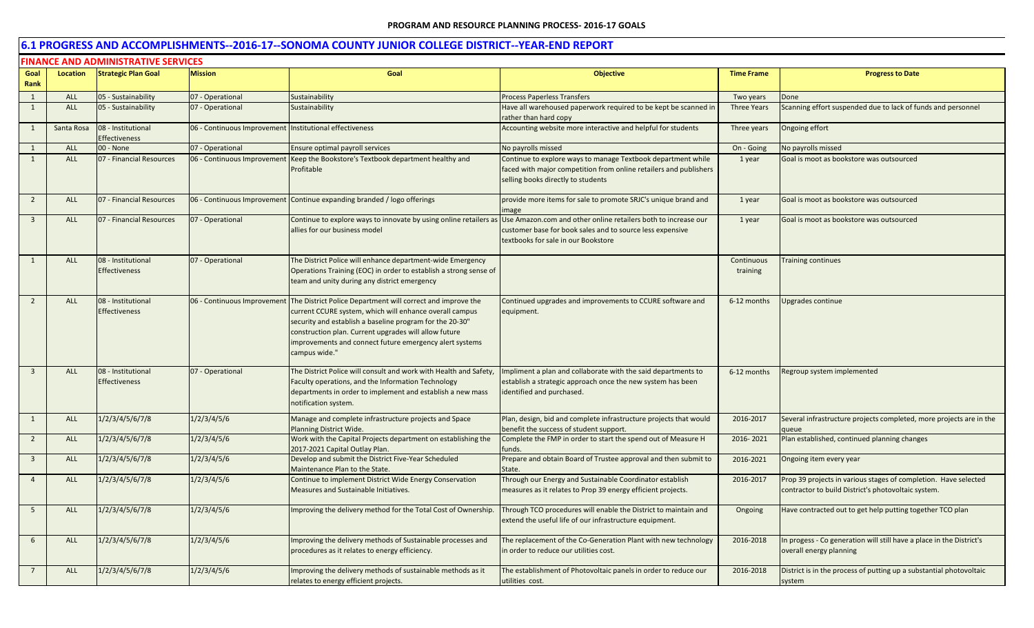|                 | <b>FINANCE AND ADMINISTRATIVE SERVICES</b> |                                            |                                                         |                                                                                                                                                                                                                                                                                                                        |                                                                                                                                                                         |                        |                                                                                                                        |  |  |  |  |
|-----------------|--------------------------------------------|--------------------------------------------|---------------------------------------------------------|------------------------------------------------------------------------------------------------------------------------------------------------------------------------------------------------------------------------------------------------------------------------------------------------------------------------|-------------------------------------------------------------------------------------------------------------------------------------------------------------------------|------------------------|------------------------------------------------------------------------------------------------------------------------|--|--|--|--|
| Goal            | Location                                   | <b>Strategic Plan Goal</b>                 | <b>Mission</b>                                          | Goal                                                                                                                                                                                                                                                                                                                   | <b>Objective</b>                                                                                                                                                        | <b>Time Frame</b>      | <b>Progress to Date</b>                                                                                                |  |  |  |  |
| Rank            |                                            |                                            |                                                         |                                                                                                                                                                                                                                                                                                                        |                                                                                                                                                                         |                        |                                                                                                                        |  |  |  |  |
| 1               | <b>ALL</b>                                 | 05 - Sustainability                        | 07 - Operational                                        | Sustainability                                                                                                                                                                                                                                                                                                         | <b>Process Paperless Transfers</b>                                                                                                                                      | Two years              | Done                                                                                                                   |  |  |  |  |
| $\mathbf{1}$    | ALL                                        | 05 - Sustainability                        | 07 - Operational                                        | Sustainability                                                                                                                                                                                                                                                                                                         | Have all warehoused paperwork required to be kept be scanned in<br>rather than hard copy                                                                                | <b>Three Years</b>     | Scanning effort suspended due to lack of funds and personnel                                                           |  |  |  |  |
| $\mathbf{1}$    | Santa Rosa                                 | 08 - Institutional<br>Effectiveness        | 06 - Continuous Improvement Institutional effectiveness |                                                                                                                                                                                                                                                                                                                        | Accounting website more interactive and helpful for students                                                                                                            | Three years            | Ongoing effort                                                                                                         |  |  |  |  |
| $\mathbf{1}$    | <b>ALL</b>                                 | 00 - None                                  | 07 - Operational                                        | Ensure optimal payroll services                                                                                                                                                                                                                                                                                        | No payrolls missed                                                                                                                                                      | On - Going             | No payrolls missed                                                                                                     |  |  |  |  |
| $\mathbf{1}$    | ALL                                        | 07 - Financial Resources                   | 06 - Continuous Improvement                             | Keep the Bookstore's Textbook department healthy and<br>Profitable                                                                                                                                                                                                                                                     | Continue to explore ways to manage Textbook department while<br>faced with major competition from online retailers and publishers<br>selling books directly to students | 1 year                 | Goal is moot as bookstore was outsourced                                                                               |  |  |  |  |
| $\overline{2}$  | ALL                                        | 07 - Financial Resources                   |                                                         | 06 - Continuous Improvement Continue expanding branded / logo offerings                                                                                                                                                                                                                                                | provide more items for sale to promote SRJC's unique brand and<br>image                                                                                                 | 1 year                 | Goal is moot as bookstore was outsourced                                                                               |  |  |  |  |
| $\overline{3}$  | ALL                                        | 07 - Financial Resources                   | 07 - Operational                                        | Continue to explore ways to innovate by using online retailers as<br>allies for our business model                                                                                                                                                                                                                     | Use Amazon.com and other online retailers both to increase our<br>customer base for book sales and to source less expensive<br>textbooks for sale in our Bookstore      | 1 year                 | Goal is moot as bookstore was outsourced                                                                               |  |  |  |  |
| 1               | ALL                                        | 08 - Institutional<br><b>Effectiveness</b> | 07 - Operational                                        | The District Police will enhance department-wide Emergency<br>Operations Training (EOC) in order to establish a strong sense of<br>team and unity during any district emergency                                                                                                                                        |                                                                                                                                                                         | Continuous<br>training | <b>Training continues</b>                                                                                              |  |  |  |  |
| $\overline{2}$  | ALL                                        | 08 - Institutional<br><b>Effectiveness</b> | 06 - Continuous Improvement                             | The District Police Department will correct and improve the<br>current CCURE system, which will enhance overall campus<br>security and establish a baseline program for the 20-30"<br>construction plan. Current upgrades will allow future<br>mprovements and connect future emergency alert systems<br>campus wide." | Continued upgrades and improvements to CCURE software and<br>equipment.                                                                                                 | 6-12 months            | Upgrades continue                                                                                                      |  |  |  |  |
| $\overline{3}$  | ALL                                        | 08 - Institutional<br><b>Effectiveness</b> | 07 - Operational                                        | The District Police will consult and work with Health and Safety,<br>Faculty operations, and the Information Technology<br>departments in order to implement and establish a new mass<br>notification system.                                                                                                          | Impliment a plan and collaborate with the said departments to<br>establish a strategic approach once the new system has been<br>identified and purchased.               | 6-12 months            | Regroup system implemented                                                                                             |  |  |  |  |
| $\mathbf{1}$    | <b>ALL</b>                                 | 1/2/3/4/5/6/7/8                            | 1/2/3/4/5/6                                             | Manage and complete infrastructure projects and Space<br><b>Planning District Wide.</b>                                                                                                                                                                                                                                | Plan, design, bid and complete infrastructure projects that would<br>benefit the success of student support.                                                            | 2016-2017              | Several infrastructure projects completed, more projects are in the<br>aueue                                           |  |  |  |  |
| $\overline{2}$  | ALL                                        | 1/2/3/4/5/6/7/8                            | 1/2/3/4/5/6                                             | Work with the Capital Projects department on establishing the<br>2017-2021 Capital Outlay Plan.                                                                                                                                                                                                                        | Complete the FMP in order to start the spend out of Measure H<br>funds.                                                                                                 | 2016-2021              | Plan established, continued planning changes                                                                           |  |  |  |  |
| $\overline{3}$  | <b>ALL</b>                                 | 1/2/3/4/5/6/7/8                            | 1/2/3/4/5/6                                             | Develop and submit the District Five-Year Scheduled<br>Maintenance Plan to the State.                                                                                                                                                                                                                                  | Prepare and obtain Board of Trustee approval and then submit to<br>State.                                                                                               | 2016-2021              | Ongoing item every year                                                                                                |  |  |  |  |
| $\overline{4}$  | <b>ALL</b>                                 | 1/2/3/4/5/6/7/8                            | 1/2/3/4/5/6                                             | Continue to implement District Wide Energy Conservation<br>Measures and Sustainable Initiatives.                                                                                                                                                                                                                       | Through our Energy and Sustainable Coordinator establish<br>measures as it relates to Prop 39 energy efficient projects.                                                | 2016-2017              | Prop 39 projects in various stages of completion. Have selected<br>contractor to build District's photovoltaic system. |  |  |  |  |
| 5               | ALL                                        | 1/2/3/4/5/6/7/8                            | 1/2/3/4/5/6                                             | mproving the delivery method for the Total Cost of Ownership.                                                                                                                                                                                                                                                          | Through TCO procedures will enable the District to maintain and<br>extend the useful life of our infrastructure equipment.                                              | Ongoing                | Have contracted out to get help putting together TCO plan                                                              |  |  |  |  |
| 6               | ALL                                        | 1/2/3/4/5/6/7/8                            | 1/2/3/4/5/6                                             | Improving the delivery methods of Sustainable processes and<br>procedures as it relates to energy efficiency.                                                                                                                                                                                                          | The replacement of the Co-Generation Plant with new technology<br>in order to reduce our utilities cost.                                                                | 2016-2018              | In progess - Co generation will still have a place in the District's<br>overall energy planning                        |  |  |  |  |
| $7\overline{ }$ | <b>ALL</b>                                 | 1/2/3/4/5/6/7/8                            | 1/2/3/4/5/6                                             | Improving the delivery methods of sustainable methods as it<br>relates to energy efficient projects.                                                                                                                                                                                                                   | The establishment of Photovoltaic panels in order to reduce our<br>utilities cost.                                                                                      | 2016-2018              | District is in the process of putting up a substantial photovoltaic<br>system                                          |  |  |  |  |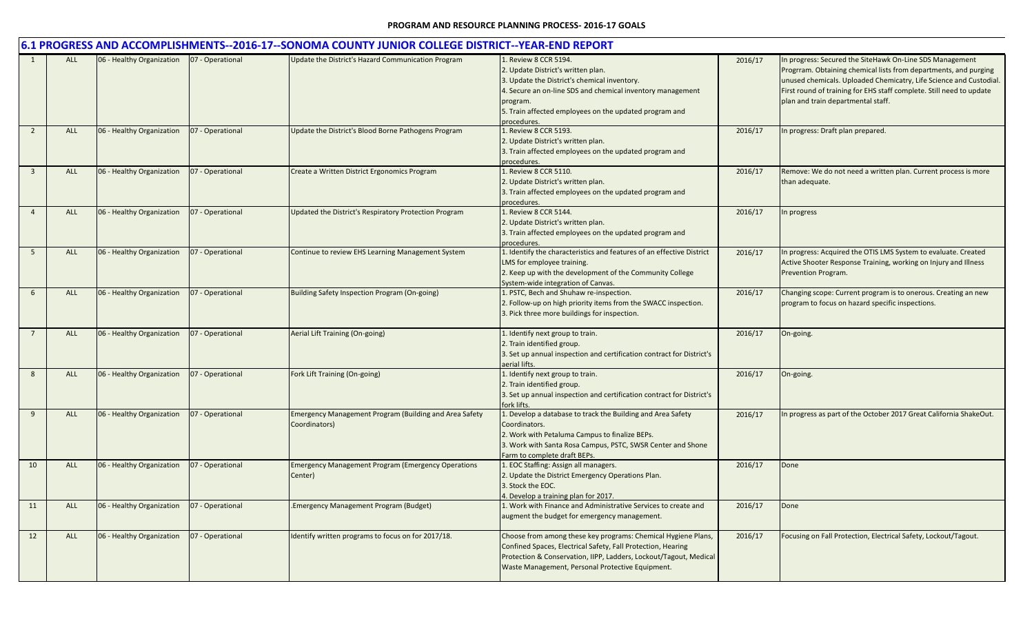|                         |            |                           |                  | 6.1 PROGRESS AND ACCOMPLISHMENTS--2016-17--SONOMA COUNTY JUNIOR COLLEGE DISTRICT--YEAR-END REPORT |                                                                                                                                                                                                                                                              |         |                                                                                                                                                                                                                                                                                                                  |
|-------------------------|------------|---------------------------|------------------|---------------------------------------------------------------------------------------------------|--------------------------------------------------------------------------------------------------------------------------------------------------------------------------------------------------------------------------------------------------------------|---------|------------------------------------------------------------------------------------------------------------------------------------------------------------------------------------------------------------------------------------------------------------------------------------------------------------------|
|                         | <b>ALL</b> | 06 - Healthy Organization | 07 - Operational | Update the District's Hazard Communication Program                                                | 1. Review 8 CCR 5194.<br>2. Update District's written plan.<br>3. Update the District's chemical inventory.<br>4. Secure an on-line SDS and chemical inventory management<br>program.<br>5. Train affected employees on the updated program and<br>rocedures | 2016/17 | In progress: Secured the SiteHawk On-Line SDS Management<br>Progrram. Obtaining chemical lists from departments, and purging<br>unused chemicals. Uploaded Chemicatry, Life Science and Custodial.<br>First round of training for EHS staff complete. Still need to update<br>plan and train departmental staff. |
| $\overline{2}$          | ALL        | 06 - Healthy Organization | 07 - Operational | Update the District's Blood Borne Pathogens Program                                               | 1. Review 8 CCR 5193.<br>2. Update District's written plan.<br>3. Train affected employees on the updated program and<br>procedures.                                                                                                                         | 2016/17 | n progress: Draft plan prepared.                                                                                                                                                                                                                                                                                 |
| $\overline{\mathbf{3}}$ | ALL        | 06 - Healthy Organization | 07 - Operational | Create a Written District Ergonomics Program                                                      | . Review 8 CCR 5110.<br>2. Update District's written plan.<br>3. Train affected employees on the updated program and<br>procedures.                                                                                                                          | 2016/17 | Remove: We do not need a written plan. Current process is more<br>than adequate.                                                                                                                                                                                                                                 |
| $\overline{4}$          | ALL        | 06 - Healthy Organization | 07 - Operational | Updated the District's Respiratory Protection Program                                             | 1. Review 8 CCR 5144.<br>2. Update District's written plan.<br>3. Train affected employees on the updated program and<br>procedures.                                                                                                                         | 2016/17 | In progress                                                                                                                                                                                                                                                                                                      |
| 5                       | ALL        | 06 - Healthy Organization | 07 - Operational | Continue to review EHS Learning Management System                                                 | 1. Identify the characteristics and features of an effective District<br>LMS for employee training.<br>2. Keep up with the development of the Community College<br>System-wide integration of Canvas.                                                        | 2016/17 | In progress: Acquired the OTIS LMS System to evaluate. Created<br>Active Shooter Response Training, working on Injury and Illness<br>Prevention Program.                                                                                                                                                         |
| 6                       | ALL        | 06 - Healthy Organization | 07 - Operational | Building Safety Inspection Program (On-going)                                                     | 1. PSTC, Bech and Shuhaw re-inspection.<br>2. Follow-up on high priority items from the SWACC inspection.<br>3. Pick three more buildings for inspection.                                                                                                    | 2016/17 | Changing scope: Current program is to onerous. Creating an new<br>program to focus on hazard specific inspections.                                                                                                                                                                                               |
|                         | ALL        | 06 - Healthy Organization | 07 - Operational | Aerial Lift Training (On-going)                                                                   | 1. Identify next group to train.<br>2. Train identified group.<br>3. Set up annual inspection and certification contract for District's<br>aerial lifts.                                                                                                     | 2016/17 | On-going.                                                                                                                                                                                                                                                                                                        |
| 8                       | ALL        | 06 - Healthy Organization | 07 - Operational | Fork Lift Training (On-going)                                                                     | 1. Identify next group to train.<br>2. Train identified group.<br>3. Set up annual inspection and certification contract for District's<br>fork lifts.                                                                                                       | 2016/17 | On-going.                                                                                                                                                                                                                                                                                                        |
| 9                       | ALL        | 06 - Healthy Organization | 07 - Operational | <b>Emergency Management Program (Building and Area Safety</b><br>Coordinators)                    | L. Develop a database to track the Building and Area Safety<br>Coordinators.<br>2. Work with Petaluma Campus to finalize BEPs.<br>3. Work with Santa Rosa Campus, PSTC, SWSR Center and Shone<br>Farm to complete draft BEPs.                                | 2016/17 | In progress as part of the October 2017 Great California ShakeOut.                                                                                                                                                                                                                                               |
| 10                      | ALL        | 06 - Healthy Organization | 07 - Operational | <b>Emergency Management Program (Emergency Operations</b><br>Center)                              | 1. EOC Staffing: Assign all managers.<br>2. Update the District Emergency Operations Plan.<br>3. Stock the EOC.<br>4. Develop a training plan for 2017.                                                                                                      | 2016/17 | Done                                                                                                                                                                                                                                                                                                             |
| 11                      | <b>ALL</b> | 06 - Healthy Organization | 07 - Operational | .Emergency Management Program (Budget)                                                            | 1. Work with Finance and Administrative Services to create and<br>augment the budget for emergency management.                                                                                                                                               | 2016/17 | Done                                                                                                                                                                                                                                                                                                             |
| 12                      | <b>ALL</b> | 06 - Healthy Organization | 07 - Operational | Identify written programs to focus on for 2017/18.                                                | Choose from among these key programs: Chemical Hygiene Plans,<br>Confined Spaces, Electrical Safety, Fall Protection, Hearing<br>Protection & Conservation, IIPP, Ladders, Lockout/Tagout, Medical<br>Waste Management, Personal Protective Equipment.       | 2016/17 | Focusing on Fall Protection, Electrical Safety, Lockout/Tagout.                                                                                                                                                                                                                                                  |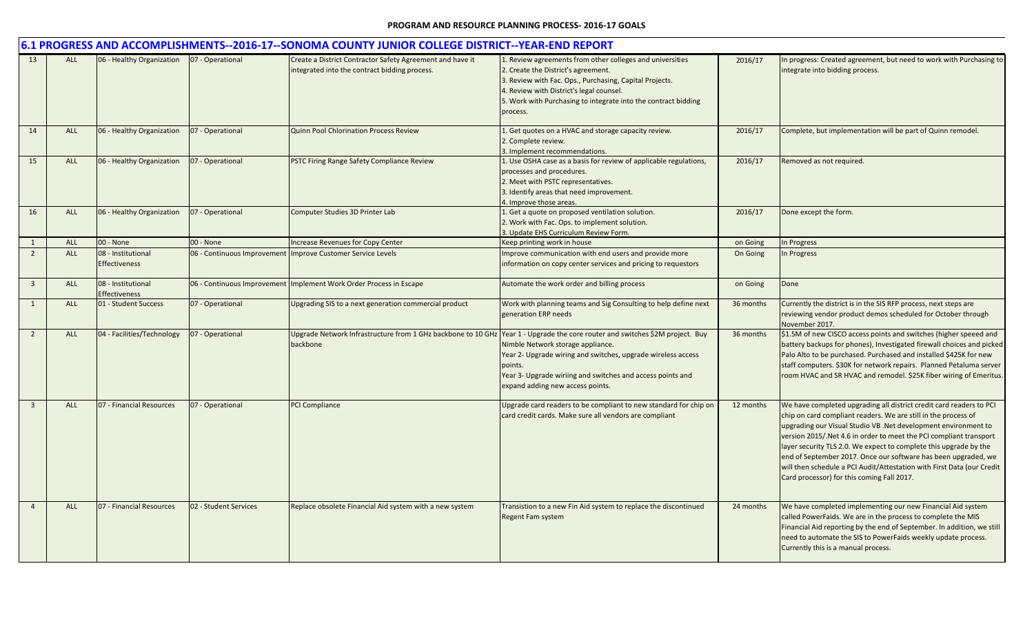|                |            |                                            |                       | 6.1 PROGRESS AND ACCOMPLISHMENTS--2016-17--SONOMA COUNTY JUNIOR COLLEGE DISTRICT--YEAR-END REPORT          |                                                                                                                                                                                                                                                                                                                                                |           |                                                                                                                                                                                                                                                                                                                                                                                                                                                                                                                                              |
|----------------|------------|--------------------------------------------|-----------------------|------------------------------------------------------------------------------------------------------------|------------------------------------------------------------------------------------------------------------------------------------------------------------------------------------------------------------------------------------------------------------------------------------------------------------------------------------------------|-----------|----------------------------------------------------------------------------------------------------------------------------------------------------------------------------------------------------------------------------------------------------------------------------------------------------------------------------------------------------------------------------------------------------------------------------------------------------------------------------------------------------------------------------------------------|
| 13             | <b>ALL</b> | 06 - Healthy Organization                  | 07 - Operational      | Create a District Contractor Safety Agreement and have it<br>integrated into the contract bidding process. | 1. Review agreements from other colleges and universities<br>2. Create the District's agreement.<br>3. Review with Fac. Ops., Purchasing, Capital Projects.<br>4. Review with District's legal counsel.<br>5. Work with Purchasing to integrate into the contract bidding<br>process.                                                          | 2016/17   | In progress: Created agreement, but need to work with Purchasing to<br>integrate into bidding process.                                                                                                                                                                                                                                                                                                                                                                                                                                       |
| 14             | <b>ALL</b> | 06 - Healthy Organization                  | 07 - Operational      | <b>Quinn Pool Chlorination Process Review</b>                                                              | 1. Get quotes on a HVAC and storage capacity review.<br>2. Complete review.<br>3. Implement recommendations.                                                                                                                                                                                                                                   | 2016/17   | Complete, but implementation will be part of Quinn remodel.                                                                                                                                                                                                                                                                                                                                                                                                                                                                                  |
| 15             | ALL        | 06 - Healthy Organization                  | 07 - Operational      | PSTC Firing Range Safety Compliance Review                                                                 | 1. Use OSHA case as a basis for review of applicable regulations,<br>processes and procedures.<br>2. Meet with PSTC representatives.<br>3. Identify areas that need improvement.<br>1. Improve those areas.                                                                                                                                    | 2016/17   | Removed as not required.                                                                                                                                                                                                                                                                                                                                                                                                                                                                                                                     |
| 16             | <b>ALL</b> | 06 - Healthy Organization                  | 07 - Operational      | Computer Studies 3D Printer Lab                                                                            | 1. Get a quote on proposed ventilation solution.<br>2. Work with Fac. Ops. to implement solution.<br>3. Update EHS Curriculum Review Form.                                                                                                                                                                                                     | 2016/17   | Done except the form.                                                                                                                                                                                                                                                                                                                                                                                                                                                                                                                        |
| 1              | <b>ALL</b> | 00 - None                                  | 00 - None             | <b>Increase Revenues for Copy Center</b>                                                                   | Keep printing work in house                                                                                                                                                                                                                                                                                                                    | on Going  | In Progress                                                                                                                                                                                                                                                                                                                                                                                                                                                                                                                                  |
| $\overline{2}$ | <b>ALL</b> | 08 - Institutional<br><b>Effectiveness</b> |                       | 06 - Continuous Improvement Improve Customer Service Levels                                                | Improve communication with end users and provide more<br>information on copy center services and pricing to requestors                                                                                                                                                                                                                         | On Going  | In Progress                                                                                                                                                                                                                                                                                                                                                                                                                                                                                                                                  |
| $\mathbf{3}$   | ALL        | 08 - Institutional<br><b>Effectiveness</b> |                       | 06 - Continuous Improvement Implement Work Order Process in Escape                                         | Automate the work order and billing process                                                                                                                                                                                                                                                                                                    | on Going  | Done                                                                                                                                                                                                                                                                                                                                                                                                                                                                                                                                         |
| 1              | ALL        | 01 - Student Success                       | 07 - Operational      | Upgrading SIS to a next generation commercial product                                                      | Work with planning teams and Sig Consulting to help define next<br>generation ERP needs                                                                                                                                                                                                                                                        | 36 months | Currently the district is in the SIS RFP process, next steps are<br>reviewing vendor product demos scheduled for October through<br>November 2017.                                                                                                                                                                                                                                                                                                                                                                                           |
| $\overline{2}$ | ALL        | 04 - Facilities/Technology                 | 07 - Operational      | backbone                                                                                                   | Upgrade Network Infrastructure from 1 GHz backbone to 10 GHz Year 1 - Upgrade the core router and switches \$2M project. Buy<br>Nimble Network storage appliance.<br>Year 2- Upgrade wiring and switches, upgrade wireless access<br>points.<br>Year 3- Upgrade wiriing and switches and access points and<br>expand adding new access points. | 36 months | \$1.5M of new CISCO access points and switches (higher speeed and<br>battery backups for phones), Investigated firewall choices and picked<br>Palo Alto to be purchased. Purchased and installed \$425K for new<br>staff computers. \$30K for network repairs. Planned Petaluma server<br>room HVAC and SR HVAC and remodel. \$25K fiber wiring of Emeritus.                                                                                                                                                                                 |
| $\overline{3}$ | <b>ALL</b> | 07 - Financial Resources                   | 07 - Operational      | PCI Compliance                                                                                             | Upgrade card readers to be compliant to new standard for chip on<br>card credit cards. Make sure all vendors are compliant                                                                                                                                                                                                                     | 12 months | We have completed upgrading all district credit card readers to PCI<br>chip on card compliant readers. We are still in the process of<br>upgrading our Visual Studio VB. Net development environment to<br>version 2015/.Net 4.6 in order to meet the PCI compliant transport<br>layer security TLS 2.0. We expect to complete this upgrade by the<br>end of September 2017. Once our software has been upgraded, we<br>will then schedule a PCI Audit/Attestation with First Data (our Credit<br>Card processor) for this coming Fall 2017. |
| $\overline{4}$ | ALL        | 07 - Financial Resources                   | 02 - Student Services | Replace obsolete Financial Aid system with a new system                                                    | Transistion to a new Fin Aid system to replace the discontinued<br>Regent Fam system                                                                                                                                                                                                                                                           | 24 months | We have completed implementing our new Financial Aid system<br>called PowerFaids. We are in the process to complete the MIS<br>Financial Aid reporting by the end of September. In addition, we still<br>need to automate the SIS to PowerFaids weekly update process.<br>Currently this is a manual process.                                                                                                                                                                                                                                |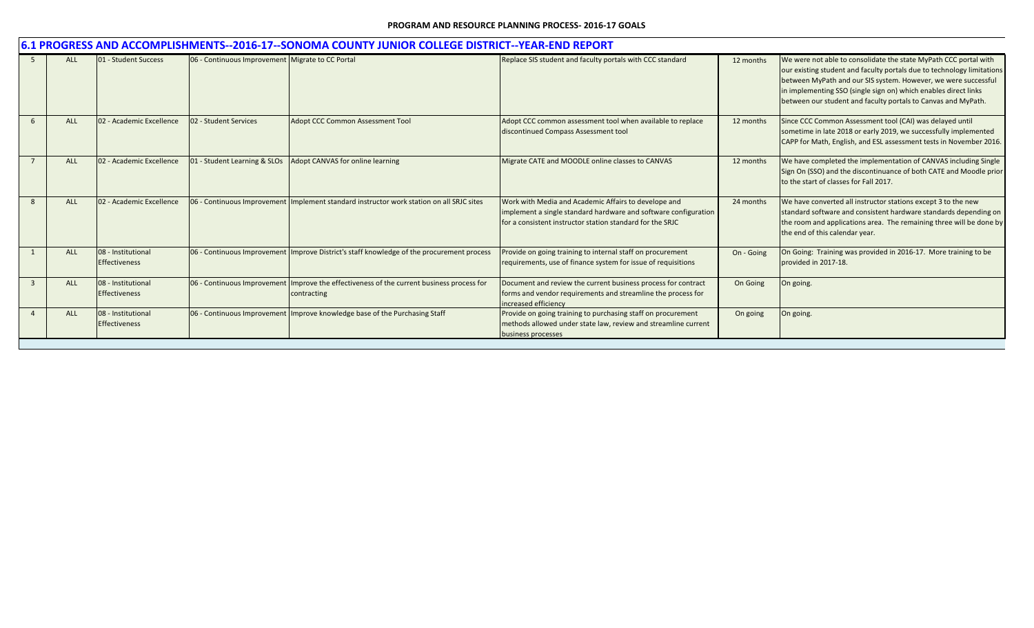|   | 6.1 PROGRESS AND ACCOMPLISHMENTS--2016-17--SONOMA COUNTY JUNIOR COLLEGE DISTRICT--YEAR-END REPORT |                                            |                                                  |                                                                                                            |                                                                                                                                                                                      |            |                                                                                                                                                                                                                                                                                                                                                  |  |  |  |  |
|---|---------------------------------------------------------------------------------------------------|--------------------------------------------|--------------------------------------------------|------------------------------------------------------------------------------------------------------------|--------------------------------------------------------------------------------------------------------------------------------------------------------------------------------------|------------|--------------------------------------------------------------------------------------------------------------------------------------------------------------------------------------------------------------------------------------------------------------------------------------------------------------------------------------------------|--|--|--|--|
|   | <b>ALL</b>                                                                                        | 01 - Student Success                       | 06 - Continuous Improvement Migrate to CC Portal |                                                                                                            | Replace SIS student and faculty portals with CCC standard                                                                                                                            | 12 months  | We were not able to consolidate the state MyPath CCC portal with<br>our existing student and faculty portals due to technology limitations<br>between MyPath and our SIS system. However, we were successful<br>in implementing SSO (single sign on) which enables direct links<br>between our student and faculty portals to Canvas and MyPath. |  |  |  |  |
|   | <b>ALL</b>                                                                                        | 02 - Academic Excellence                   | 02 - Student Services                            | <b>Adopt CCC Common Assessment Tool</b>                                                                    | Adopt CCC common assessment tool when available to replace<br>discontinued Compass Assessment tool                                                                                   | 12 months  | Since CCC Common Assessment tool (CAI) was delayed until<br>sometime in late 2018 or early 2019, we successfully implemented<br>CAPP for Math, English, and ESL assessment tests in November 2016.                                                                                                                                               |  |  |  |  |
|   | <b>ALL</b>                                                                                        | 02 - Academic Excellence                   | 01 - Student Learning & SLOs                     | <b>Adopt CANVAS for online learning</b>                                                                    | Migrate CATE and MOODLE online classes to CANVAS                                                                                                                                     | 12 months  | We have completed the implementation of CANVAS including Single<br>Sign On (SSO) and the discontinuance of both CATE and Moodle prior<br>to the start of classes for Fall 2017.                                                                                                                                                                  |  |  |  |  |
| 8 | <b>ALL</b>                                                                                        | 02 - Academic Excellence                   |                                                  | 06 - Continuous Improvement Implement standard instructor work station on all SRJC sites                   | Work with Media and Academic Affairs to develope and<br>implement a single standard hardware and software configuration<br>for a consistent instructor station standard for the SRJC | 24 months  | We have converted all instructor stations except 3 to the new<br>standard software and consistent hardware standards depending on<br>the room and applications area. The remaining three will be done by<br>the end of this calendar year.                                                                                                       |  |  |  |  |
|   | <b>ALL</b>                                                                                        | 08 - Institutional<br><b>Effectiveness</b> |                                                  | 06 - Continuous Improvement Improve District's staff knowledge of the procurement process                  | Provide on going training to internal staff on procurement<br>requirements, use of finance system for issue of requisitions                                                          | On - Going | On Going: Training was provided in 2016-17. More training to be<br>provided in 2017-18.                                                                                                                                                                                                                                                          |  |  |  |  |
|   | <b>ALL</b>                                                                                        | 08 - Institutional<br><b>Effectiveness</b> |                                                  | 06 - Continuous Improvement   Improve the effectiveness of the current business process for<br>contracting | Document and review the current business process for contract<br>forms and vendor requirements and streamline the process for<br>increased efficiency                                | On Going   | On going.                                                                                                                                                                                                                                                                                                                                        |  |  |  |  |
|   | <b>ALL</b>                                                                                        | 08 - Institutional<br><b>Effectiveness</b> |                                                  | 06 - Continuous Improvement Improve knowledge base of the Purchasing Staff                                 | Provide on going training to purchasing staff on procurement<br>methods allowed under state law, review and streamline current<br>business processes                                 | On going   | On going.                                                                                                                                                                                                                                                                                                                                        |  |  |  |  |
|   |                                                                                                   |                                            |                                                  |                                                                                                            |                                                                                                                                                                                      |            |                                                                                                                                                                                                                                                                                                                                                  |  |  |  |  |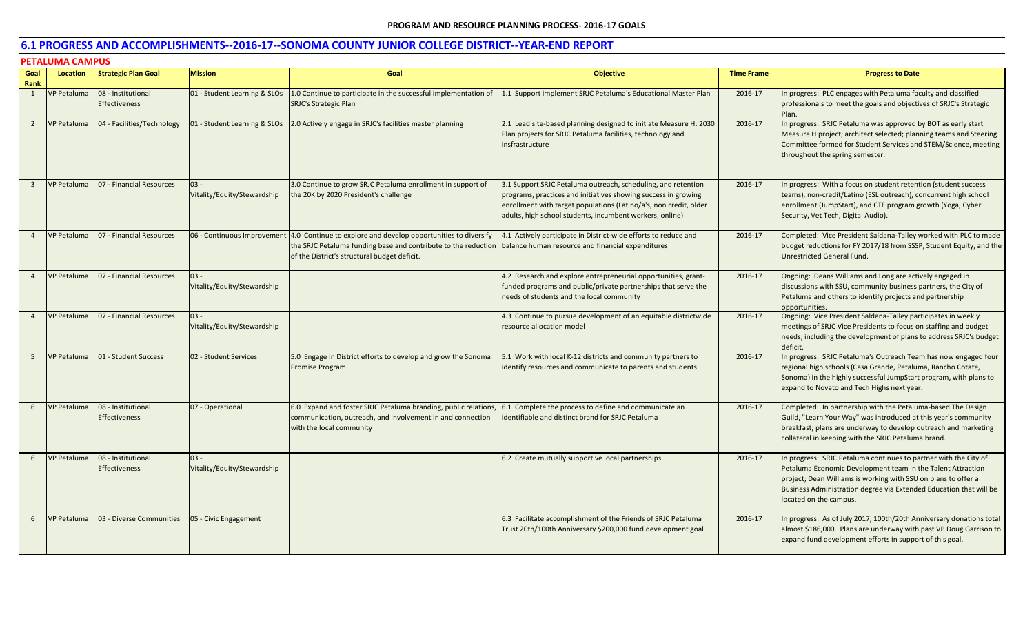|                | <b>PETALUMA CAMPUS</b> |                                            |                                       |                                                                                                                                                                                  |                                                                                                                                                                                                                                                                  |                   |                                                                                                                                                                                                                                                                                                   |  |  |  |
|----------------|------------------------|--------------------------------------------|---------------------------------------|----------------------------------------------------------------------------------------------------------------------------------------------------------------------------------|------------------------------------------------------------------------------------------------------------------------------------------------------------------------------------------------------------------------------------------------------------------|-------------------|---------------------------------------------------------------------------------------------------------------------------------------------------------------------------------------------------------------------------------------------------------------------------------------------------|--|--|--|
| Goal<br>Rank   | Location               | <b>Strategic Plan Goal</b>                 | <b>Mission</b>                        | Goal                                                                                                                                                                             | <b>Objective</b>                                                                                                                                                                                                                                                 | <b>Time Frame</b> | <b>Progress to Date</b>                                                                                                                                                                                                                                                                           |  |  |  |
| 1              | <b>VP Petaluma</b>     | 08 - Institutional<br><b>Effectiveness</b> | 01 - Student Learning & SLOs          | 1.0 Continue to participate in the successful implementation of<br><b>SRJC's Strategic Plan</b>                                                                                  | 1.1 Support implement SRJC Petaluma's Educational Master Plan                                                                                                                                                                                                    | 2016-17           | In progress: PLC engages with Petaluma faculty and classified<br>professionals to meet the goals and objectives of SRJC's Strategic                                                                                                                                                               |  |  |  |
| $\overline{2}$ | VP Petaluma            | 04 - Facilities/Technology                 | 01 - Student Learning & SLOs          | 2.0 Actively engage in SRJC's facilities master planning                                                                                                                         | 2.1 Lead site-based planning designed to initiate Measure H: 2030<br>Plan projects for SRJC Petaluma facilities, technology and<br>insfrastructure                                                                                                               | 2016-17           | In progress: SRJC Petaluma was approved by BOT as early start<br>Measure H project; architect selected; planning teams and Steering<br>Committee formed for Student Services and STEM/Science, meeting<br>throughout the spring semester.                                                         |  |  |  |
| $\overline{3}$ | <b>VP Petaluma</b>     | 07 - Financial Resources                   | $03 -$<br>Vitality/Equity/Stewardship | 3.0 Continue to grow SRJC Petaluma enrollment in support of<br>the 20K by 2020 President's challenge                                                                             | 3.1 Support SRJC Petaluma outreach, scheduling, and retention<br>programs, practices and initiatives showing success in growing<br>enrollment with target populations (Latino/a's, non credit, older<br>adults, high school students, incumbent workers, online) | 2016-17           | In progress: With a focus on student retention (student success<br>teams), non-credit/Latino (ESL outreach), concurrent high school<br>enrollment (JumpStart), and CTE program growth (Yoga, Cyber<br>Security, Vet Tech, Digital Audio).                                                         |  |  |  |
|                | <b>VP Petaluma</b>     | 07 - Financial Resources                   | 06 - Continuous Improvement           | 4.0 Continue to explore and develop opportunities to diversify<br>the SRJC Petaluma funding base and contribute to the reduction<br>of the District's structural budget deficit. | 4.1 Actively participate in District-wide efforts to reduce and<br>balance human resource and financial expenditures                                                                                                                                             | 2016-17           | Completed: Vice President Saldana-Talley worked with PLC to made<br>budget reductions for FY 2017/18 from SSSP, Student Equity, and the<br>Unrestricted General Fund.                                                                                                                             |  |  |  |
|                | <b>VP Petaluma</b>     | 07 - Financial Resources                   | $03 -$<br>Vitality/Equity/Stewardship |                                                                                                                                                                                  | 4.2 Research and explore entrepreneurial opportunities, grant-<br>funded programs and public/private partnerships that serve the<br>needs of students and the local community                                                                                    | 2016-17           | Ongoing: Deans Williams and Long are actively engaged in<br>discussions with SSU, community business partners, the City of<br>Petaluma and others to identify projects and partnership<br>opportunities.                                                                                          |  |  |  |
|                | <b>VP Petaluma</b>     | 07 - Financial Resources                   | $03 -$<br>Vitality/Equity/Stewardship |                                                                                                                                                                                  | 4.3 Continue to pursue development of an equitable districtwide<br>resource allocation model                                                                                                                                                                     | 2016-17           | Ongoing: Vice President Saldana-Talley participates in weekly<br>meetings of SRJC Vice Presidents to focus on staffing and budget<br>needs, including the development of plans to address SRJC's budget<br>deficit.                                                                               |  |  |  |
|                | <b>VP Petaluma</b>     | 01 - Student Success                       | 02 - Student Services                 | 5.0 Engage in District efforts to develop and grow the Sonoma<br><b>Promise Program</b>                                                                                          | 5.1 Work with local K-12 districts and community partners to<br>identify resources and communicate to parents and students                                                                                                                                       | 2016-17           | In progress: SRJC Petaluma's Outreach Team has now engaged four<br>regional high schools (Casa Grande, Petaluma, Rancho Cotate,<br>Sonoma) in the highly successful JumpStart program, with plans to<br>expand to Novato and Tech Highs next year.                                                |  |  |  |
| 6              | <b>VP Petaluma</b>     | 08 - Institutional<br><b>Effectiveness</b> | 07 - Operational                      | 6.0 Expand and foster SRJC Petaluma branding, public relations,<br>communication, outreach, and involvement in and connection<br>with the local community                        | 6.1 Complete the process to define and communicate an<br>identifiable and distinct brand for SRJC Petaluma                                                                                                                                                       | 2016-17           | Completed: In partnership with the Petaluma-based The Design<br>Guild, "Learn Your Way" was introduced at this year's community<br>breakfast; plans are underway to develop outreach and marketing<br>collateral in keeping with the SRJC Petaluma brand.                                         |  |  |  |
|                | VP Petaluma            | 08 - Institutional<br><b>Effectiveness</b> | $03 -$<br>Vitality/Equity/Stewardship |                                                                                                                                                                                  | 6.2 Create mutually supportive local partnerships                                                                                                                                                                                                                | 2016-17           | In progress: SRJC Petaluma continues to partner with the City of<br>Petaluma Economic Development team in the Talent Attraction<br>project; Dean Williams is working with SSU on plans to offer a<br>Business Administration degree via Extended Education that will be<br>located on the campus. |  |  |  |
| 6              | VP Petaluma            | 03 - Diverse Communities                   | 05 - Civic Engagement                 |                                                                                                                                                                                  | 6.3 Facilitate accomplishment of the Friends of SRJC Petaluma<br>Trust 20th/100th Anniversary \$200,000 fund development goal                                                                                                                                    | 2016-17           | In progress: As of July 2017, 100th/20th Anniversary donations total<br>almost \$186,000. Plans are underway with past VP Doug Garrison to<br>expand fund development efforts in support of this goal.                                                                                            |  |  |  |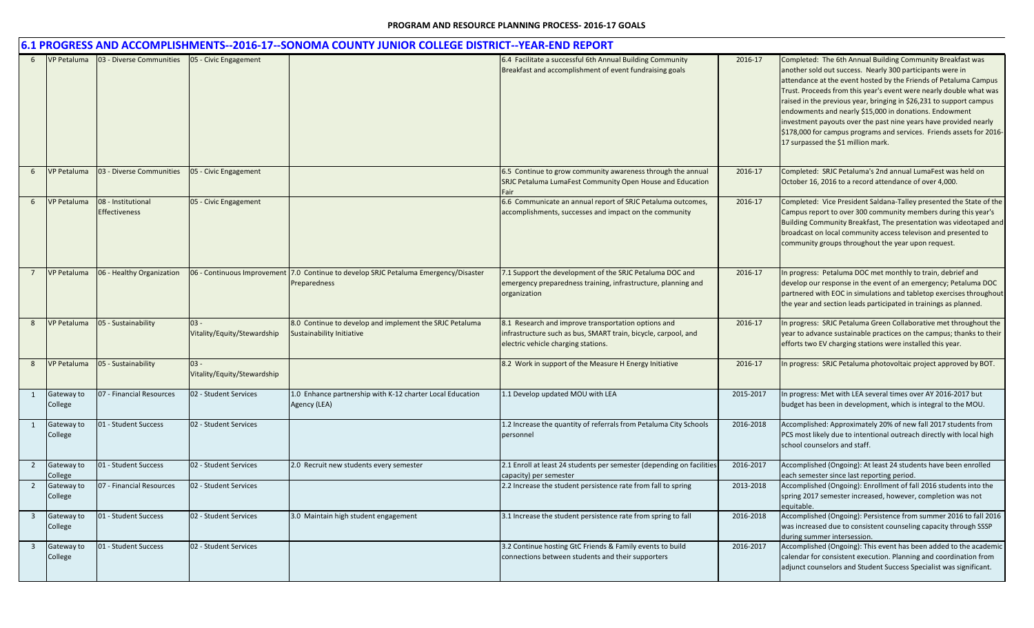|                         |                       |                                     |                                       | 6.1 PROGRESS AND ACCOMPLISHMENTS--2016-17--SONOMA COUNTY JUNIOR COLLEGE DISTRICT--YEAR-END REPORT |                                                                                                                                                              |           |                                                                                                                                                                                                                                                                                                                                                                                                                                                                                                                                                                                      |
|-------------------------|-----------------------|-------------------------------------|---------------------------------------|---------------------------------------------------------------------------------------------------|--------------------------------------------------------------------------------------------------------------------------------------------------------------|-----------|--------------------------------------------------------------------------------------------------------------------------------------------------------------------------------------------------------------------------------------------------------------------------------------------------------------------------------------------------------------------------------------------------------------------------------------------------------------------------------------------------------------------------------------------------------------------------------------|
| 6                       | <b>VP Petaluma</b>    | 03 - Diverse Communities            | 05 - Civic Engagement                 |                                                                                                   | 6.4 Facilitate a successful 6th Annual Building Community<br>Breakfast and accomplishment of event fundraising goals                                         | 2016-17   | Completed: The 6th Annual Building Community Breakfast was<br>another sold out success. Nearly 300 participants were in<br>attendance at the event hosted by the Friends of Petaluma Campus<br>Trust. Proceeds from this year's event were nearly double what was<br>raised in the previous year, bringing in \$26,231 to support campus<br>endowments and nearly \$15,000 in donations. Endowment<br>investment payouts over the past nine years have provided nearly<br>\$178,000 for campus programs and services. Friends assets for 2016-<br>17 surpassed the \$1 million mark. |
| 6                       | VP Petaluma           | 03 - Diverse Communities            | 05 - Civic Engagement                 |                                                                                                   | 6.5 Continue to grow community awareness through the annual<br>SRJC Petaluma LumaFest Community Open House and Education<br>Fair                             | 2016-17   | Completed: SRJC Petaluma's 2nd annual LumaFest was held on<br>October 16, 2016 to a record attendance of over 4,000.                                                                                                                                                                                                                                                                                                                                                                                                                                                                 |
| 6                       | VP Petaluma           | 08 - Institutional<br>Effectiveness | 05 - Civic Engagement                 |                                                                                                   | 6.6 Communicate an annual report of SRJC Petaluma outcomes,<br>accomplishments, successes and impact on the community                                        | 2016-17   | Completed: Vice President Saldana-Talley presented the State of the<br>Campus report to over 300 community members during this year's<br>Building Community Breakfast, The presentation was videotaped and<br>broadcast on local community access televison and presented to<br>community groups throughout the year upon request.                                                                                                                                                                                                                                                   |
| $\overline{7}$          | <b>VP Petaluma</b>    | 06 - Healthy Organization           | 06 - Continuous Improvement           | 7.0 Continue to develop SRJC Petaluma Emergency/Disaster<br>Preparedness                          | 7.1 Support the development of the SRJC Petaluma DOC and<br>emergency preparedness training, infrastructure, planning and<br>organization                    | 2016-17   | n progress: Petaluma DOC met monthly to train, debrief and<br>develop our response in the event of an emergency; Petaluma DOC<br>partnered with EOC in simulations and tabletop exercises throughout<br>the year and section leads participated in trainings as planned.                                                                                                                                                                                                                                                                                                             |
| 8                       | <b>VP Petaluma</b>    | 05 - Sustainability                 | $03 -$<br>Vitality/Equity/Stewardship | 8.0 Continue to develop and implement the SRJC Petaluma<br>Sustainability Initiative              | 8.1 Research and improve transportation options and<br>infrastructure such as bus, SMART train, bicycle, carpool, and<br>electric vehicle charging stations. | 2016-17   | In progress: SRJC Petaluma Green Collaborative met throughout the<br>year to advance sustainable practices on the campus; thanks to their<br>efforts two EV charging stations were installed this year.                                                                                                                                                                                                                                                                                                                                                                              |
| 8                       | <b>VP Petaluma</b>    | 05 - Sustainability                 | $03 -$<br>Vitality/Equity/Stewardship |                                                                                                   | 8.2 Work in support of the Measure H Energy Initiative                                                                                                       | 2016-17   | n progress: SRJC Petaluma photovoltaic project approved by BOT.                                                                                                                                                                                                                                                                                                                                                                                                                                                                                                                      |
| 1                       | Gateway to<br>College | 07 - Financial Resources            | 02 - Student Services                 | 1.0 Enhance partnership with K-12 charter Local Education<br>Agency (LEA)                         | 1.1 Develop updated MOU with LEA                                                                                                                             | 2015-2017 | n progress: Met with LEA several times over AY 2016-2017 but<br>budget has been in development, which is integral to the MOU.                                                                                                                                                                                                                                                                                                                                                                                                                                                        |
| $\mathbf{1}$            | Gateway to<br>College | 01 - Student Success                | 02 - Student Services                 |                                                                                                   | 1.2 Increase the quantity of referrals from Petaluma City Schools<br>personnel                                                                               | 2016-2018 | Accomplished: Approximately 20% of new fall 2017 students from<br>PCS most likely due to intentional outreach directly with local high<br>school counselors and staff.                                                                                                                                                                                                                                                                                                                                                                                                               |
| $\overline{2}$          | Gateway to<br>College | 01 - Student Success                | 02 - Student Services                 | 2.0 Recruit new students every semester                                                           | 2.1 Enroll at least 24 students per semester (depending on facilities<br>capacity) per semester                                                              | 2016-2017 | Accomplished (Ongoing): At least 24 students have been enrolled<br>each semester since last reporting period.                                                                                                                                                                                                                                                                                                                                                                                                                                                                        |
| $\overline{2}$          | Gateway to<br>College | 07 - Financial Resources            | 02 - Student Services                 |                                                                                                   | 2.2 Increase the student persistence rate from fall to spring                                                                                                | 2013-2018 | Accomplished (Ongoing): Enrollment of fall 2016 students into the<br>spring 2017 semester increased, however, completion was not<br>equitable.                                                                                                                                                                                                                                                                                                                                                                                                                                       |
| $\overline{\mathbf{3}}$ | Gateway to<br>College | 01 - Student Success                | 02 - Student Services                 | 3.0 Maintain high student engagement                                                              | 3.1 Increase the student persistence rate from spring to fall                                                                                                | 2016-2018 | Accomplished (Ongoing): Persistence from summer 2016 to fall 2016<br>was increased due to consistent counseling capacity through SSSP<br>during summer intersession.                                                                                                                                                                                                                                                                                                                                                                                                                 |
| $\overline{3}$          | Gateway to<br>College | 01 - Student Success                | 02 - Student Services                 |                                                                                                   | 3.2 Continue hosting GtC Friends & Family events to build<br>connections between students and their supporters                                               | 2016-2017 | Accomplished (Ongoing): This event has been added to the academic<br>calendar for consistent execution. Planning and coordination from<br>adjunct counselors and Student Success Specialist was significant.                                                                                                                                                                                                                                                                                                                                                                         |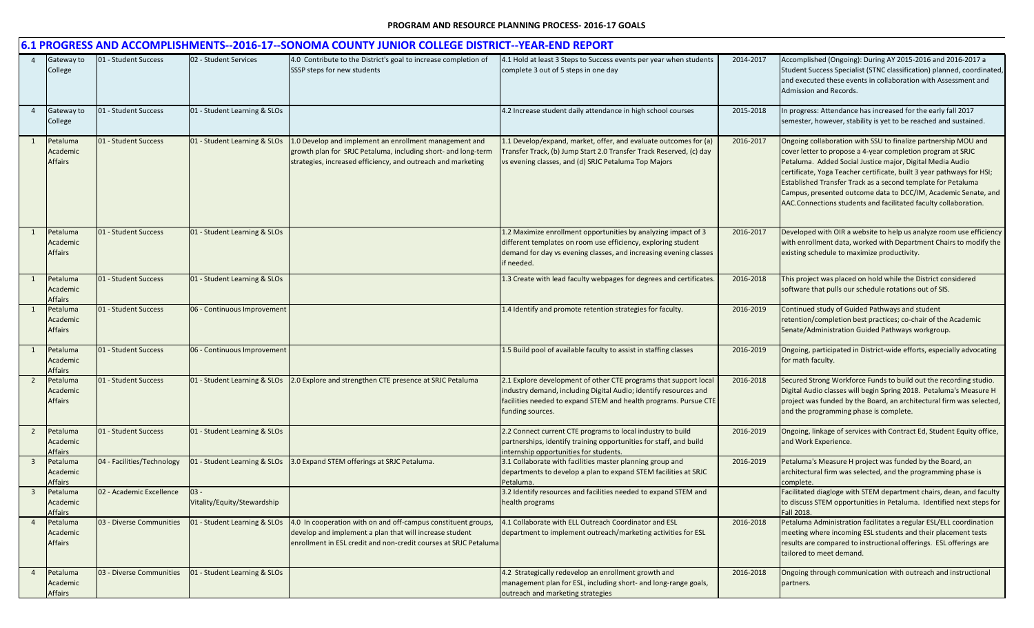|                         |                                        |                            |                                       | 6.1 PROGRESS AND ACCOMPLISHMENTS--2016-17--SONOMA COUNTY JUNIOR COLLEGE DISTRICT--YEAR-END REPORT                                                                                            |                                                                                                                                                                                                                              |           |                                                                                                                                                                                                                                                                                                                                                                                                                                                                          |
|-------------------------|----------------------------------------|----------------------------|---------------------------------------|----------------------------------------------------------------------------------------------------------------------------------------------------------------------------------------------|------------------------------------------------------------------------------------------------------------------------------------------------------------------------------------------------------------------------------|-----------|--------------------------------------------------------------------------------------------------------------------------------------------------------------------------------------------------------------------------------------------------------------------------------------------------------------------------------------------------------------------------------------------------------------------------------------------------------------------------|
|                         | Gateway to<br>College                  | 01 - Student Success       | 02 - Student Services                 | 4.0 Contribute to the District's goal to increase completion of<br>SSSP steps for new students                                                                                               | 4.1 Hold at least 3 Steps to Success events per year when students<br>complete 3 out of 5 steps in one day                                                                                                                   | 2014-2017 | Accomplished (Ongoing): During AY 2015-2016 and 2016-2017 a<br>Student Success Specialist (STNC classification) planned, coordinated,<br>and executed these events in collaboration with Assessment and<br>Admission and Records.                                                                                                                                                                                                                                        |
| $\overline{4}$          | Gateway to<br>College                  | 01 - Student Success       | 01 - Student Learning & SLOs          |                                                                                                                                                                                              | 4.2 Increase student daily attendance in high school courses                                                                                                                                                                 | 2015-2018 | In progress: Attendance has increased for the early fall 2017<br>semester, however, stability is yet to be reached and sustained.                                                                                                                                                                                                                                                                                                                                        |
| 1                       | Petaluma<br>Academic<br><b>Affairs</b> | 01 - Student Success       | 01 - Student Learning & SLOs          | 1.0 Develop and implement an enrollment management and<br>growth plan for SRJC Petaluma, including short- and long-term<br>strategies, increased efficiency, and outreach and marketing      | 1.1 Develop/expand, market, offer, and evaluate outcomes for (a)<br>Transfer Track, (b) Jump Start 2.0 Transfer Track Reserved, (c) day<br>vs evening classes, and (d) SRJC Petaluma Top Majors                              | 2016-2017 | Ongoing collaboration with SSU to finalize partnership MOU and<br>cover letter to propose a 4-year completion program at SRJC<br>Petaluma. Added Social Justice major, Digital Media Audio<br>certificate, Yoga Teacher certificate, built 3 year pathways for HSI;<br>Established Transfer Track as a second template for Petaluma<br>Campus, presented outcome data to DCC/IM, Academic Senate, and<br>AAC.Connections students and facilitated faculty collaboration. |
|                         | Petaluma<br>Academic<br><b>Affairs</b> | 01 - Student Success       | 01 - Student Learning & SLOs          |                                                                                                                                                                                              | 1.2 Maximize enrollment opportunities by analyzing impact of 3<br>different templates on room use efficiency, exploring student<br>demand for day vs evening classes, and increasing evening classes<br>if needed.           | 2016-2017 | Developed with OIR a website to help us analyze room use efficiency<br>with enrollment data, worked with Department Chairs to modify the<br>existing schedule to maximize productivity.                                                                                                                                                                                                                                                                                  |
| $\mathbf{1}$            | Petaluma<br>Academic<br>Affairs        | 01 - Student Success       | 01 - Student Learning & SLOs          |                                                                                                                                                                                              | 1.3 Create with lead faculty webpages for degrees and certificates.                                                                                                                                                          | 2016-2018 | This project was placed on hold while the District considered<br>software that pulls our schedule rotations out of SIS.                                                                                                                                                                                                                                                                                                                                                  |
|                         | Petaluma<br>Academic<br>Affairs        | 01 - Student Success       | 06 - Continuous Improvement           |                                                                                                                                                                                              | 1.4 Identify and promote retention strategies for faculty.                                                                                                                                                                   | 2016-2019 | Continued study of Guided Pathways and student<br>retention/completion best practices; co-chair of the Academic<br>Senate/Administration Guided Pathways workgroup.                                                                                                                                                                                                                                                                                                      |
|                         | Petaluma<br>Academic<br>Affairs        | 01 - Student Success       | 06 - Continuous Improvement           |                                                                                                                                                                                              | 1.5 Build pool of available faculty to assist in staffing classes                                                                                                                                                            | 2016-2019 | Ongoing, participated in District-wide efforts, especially advocating<br>for math faculty.                                                                                                                                                                                                                                                                                                                                                                               |
| $\overline{2}$          | Petaluma<br>Academic<br>Affairs        | 01 - Student Success       | 01 - Student Learning & SLOs          | 2.0 Explore and strengthen CTE presence at SRJC Petaluma                                                                                                                                     | 2.1 Explore development of other CTE programs that support local<br>industry demand, including Digital Audio; identify resources and<br>facilities needed to expand STEM and health programs. Pursue CTE<br>funding sources. | 2016-2018 | Secured Strong Workforce Funds to build out the recording studio.<br>Digital Audio classes will begin Spring 2018. Petaluma's Measure H<br>project was funded by the Board, an architectural firm was selected,<br>and the programming phase is complete.                                                                                                                                                                                                                |
| $\overline{2}$          | Petaluma<br>Academic<br>Affairs        | 01 - Student Success       | 01 - Student Learning & SLOs          |                                                                                                                                                                                              | 2.2 Connect current CTE programs to local industry to build<br>partnerships, identify training opportunities for staff, and build<br>internship opportunities for students.                                                  | 2016-2019 | Ongoing, linkage of services with Contract Ed, Student Equity office,<br>and Work Experience.                                                                                                                                                                                                                                                                                                                                                                            |
| - 3                     | Petaluma<br>Academic<br>Affairs        | 04 - Facilities/Technology | 01 - Student Learning & SLOs          | 3.0 Expand STEM offerings at SRJC Petaluma.                                                                                                                                                  | 3.1 Collaborate with facilities master planning group and<br>departments to develop a plan to expand STEM facilities at SRJC<br>Petaluma                                                                                     | 2016-2019 | Petaluma's Measure H project was funded by the Board, an<br>architectural firm was selected, and the programming phase is<br>complete                                                                                                                                                                                                                                                                                                                                    |
| $\overline{\mathbf{3}}$ | Petaluma<br>Academic<br><b>Affairs</b> | 02 - Academic Excellence   | $03 -$<br>Vitality/Equity/Stewardship |                                                                                                                                                                                              | 3.2 Identify resources and facilities needed to expand STEM and<br>health programs                                                                                                                                           |           | Facilitated diagloge with STEM department chairs, dean, and faculty<br>to discuss STEM opportunities in Petaluma. Identified next steps for<br>Fall 2018.                                                                                                                                                                                                                                                                                                                |
| -4                      | Petaluma<br>Academic<br>Affairs        | 03 - Diverse Communities   | 01 - Student Learning & SLOs          | 4.0 In cooperation with on and off-campus constituent groups,<br>develop and implement a plan that will increase student<br>enrollment in ESL credit and non-credit courses at SRJC Petaluma | 4.1 Collaborate with ELL Outreach Coordinator and ESL<br>department to implement outreach/marketing activities for ESL                                                                                                       | 2016-2018 | Petaluma Administration facilitates a regular ESL/ELL coordination<br>meeting where incoming ESL students and their placement tests<br>results are compared to instructional offerings. ESL offerings are<br>tailored to meet demand.                                                                                                                                                                                                                                    |
| $\overline{4}$          | Petaluma<br>Academic<br>Affairs        | 03 - Diverse Communities   | 01 - Student Learning & SLOs          |                                                                                                                                                                                              | 4.2 Strategically redevelop an enrollment growth and<br>management plan for ESL, including short- and long-range goals,<br>outreach and marketing strategies                                                                 | 2016-2018 | Ongoing through communication with outreach and instructional<br>partners.                                                                                                                                                                                                                                                                                                                                                                                               |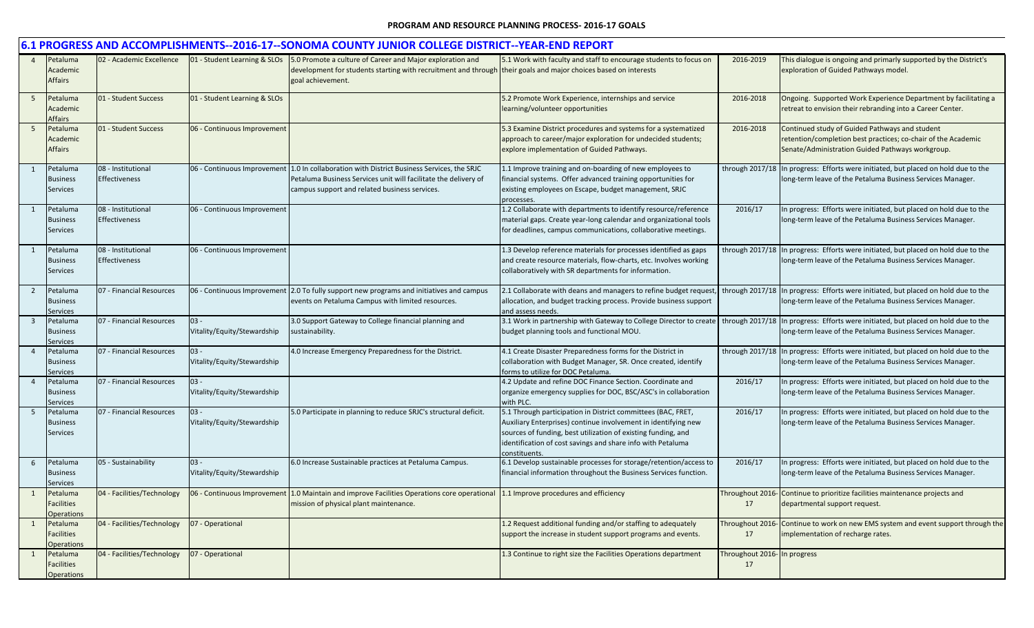|                |                                                    |                                            |                                       | 6.1 PROGRESS AND ACCOMPLISHMENTS--2016-17--SONOMA COUNTY JUNIOR COLLEGE DISTRICT--YEAR-END REPORT                                                                                                                              |                                                                                                                                                                                                                                                                                 |                                    |                                                                                                                                                                     |
|----------------|----------------------------------------------------|--------------------------------------------|---------------------------------------|--------------------------------------------------------------------------------------------------------------------------------------------------------------------------------------------------------------------------------|---------------------------------------------------------------------------------------------------------------------------------------------------------------------------------------------------------------------------------------------------------------------------------|------------------------------------|---------------------------------------------------------------------------------------------------------------------------------------------------------------------|
|                | Petaluma<br>Academic<br>Affairs                    | 02 - Academic Excellence                   |                                       | 01 - Student Learning & SLOs 5.0 Promote a culture of Career and Major exploration and<br>development for students starting with recruitment and through their goals and major choices based on interests<br>goal achievement. | 5.1 Work with faculty and staff to encourage students to focus on                                                                                                                                                                                                               | 2016-2019                          | This dialogue is ongoing and primarly supported by the District's<br>exploration of Guided Pathways model.                                                          |
| 5              | Petaluma<br>Academic<br>Affairs                    | 01 - Student Success                       | 01 - Student Learning & SLOs          |                                                                                                                                                                                                                                | 5.2 Promote Work Experience, internships and service<br>learning/volunteer opportunities                                                                                                                                                                                        | 2016-2018                          | Ongoing. Supported Work Experience Department by facilitating a<br>retreat to envision their rebranding into a Career Center.                                       |
| 5              | Petaluma<br>Academic<br><b>Affairs</b>             | 01 - Student Success                       | 06 - Continuous Improvement           |                                                                                                                                                                                                                                | 5.3 Examine District procedures and systems for a systematized<br>approach to career/major exploration for undecided students;<br>explore implementation of Guided Pathways.                                                                                                    | 2016-2018                          | Continued study of Guided Pathways and student<br>retention/completion best practices; co-chair of the Academic<br>Senate/Administration Guided Pathways workgroup. |
| 1              | Petaluma<br><b>Business</b><br><b>Services</b>     | 08 - Institutional<br><b>Effectiveness</b> | 06 - Continuous Improvement           | 1.0 In collaboration with District Business Services, the SRJC<br>Petaluma Business Services unit will facilitate the delivery of<br>campus support and related business services.                                             | 1.1 Improve training and on-boarding of new employees to<br>financial systems. Offer advanced training opportunities for<br>existing employees on Escape, budget management, SRJC<br>processes                                                                                  |                                    | through 2017/18 In progress: Efforts were initiated, but placed on hold due to the<br>long-term leave of the Petaluma Business Services Manager.                    |
|                | Petaluma<br><b>Business</b><br>Services            | 08 - Institutional<br>Effectiveness        | 06 - Continuous Improvement           |                                                                                                                                                                                                                                | 1.2 Collaborate with departments to identify resource/reference<br>material gaps. Create year-long calendar and organizational tools<br>for deadlines, campus communications, collaborative meetings.                                                                           | 2016/17                            | In progress: Efforts were initiated, but placed on hold due to the<br>long-term leave of the Petaluma Business Services Manager.                                    |
| 1              | Petaluma<br><b>Business</b><br><b>Services</b>     | 08 - Institutional<br>Effectiveness        | 06 - Continuous Improvement           |                                                                                                                                                                                                                                | 1.3 Develop reference materials for processes identified as gaps<br>and create resource materials, flow-charts, etc. Involves working<br>collaboratively with SR departments for information.                                                                                   |                                    | through 2017/18 In progress: Efforts were initiated, but placed on hold due to the<br>long-term leave of the Petaluma Business Services Manager.                    |
| $\overline{2}$ | Petaluma<br><b>Business</b><br>Services            | 07 - Financial Resources                   |                                       | 06 - Continuous Improvement 2.0 To fully support new programs and initiatives and campus<br>events on Petaluma Campus with limited resources.                                                                                  | 2.1 Collaborate with deans and managers to refine budget request,<br>allocation, and budget tracking process. Provide business support<br>and assess needs.                                                                                                                     |                                    | through 2017/18 In progress: Efforts were initiated, but placed on hold due to the<br>long-term leave of the Petaluma Business Services Manager.                    |
| $\overline{3}$ | Petaluma<br><b>Business</b><br><b>Services</b>     | 07 - Financial Resources                   | $03 -$<br>Vitality/Equity/Stewardship | 3.0 Support Gateway to College financial planning and<br>sustainability.                                                                                                                                                       | 3.1 Work in partnership with Gateway to College Director to create   through 2017/18<br>budget planning tools and functional MOU.                                                                                                                                               |                                    | In progress: Efforts were initiated, but placed on hold due to the<br>long-term leave of the Petaluma Business Services Manager.                                    |
|                | Petaluma<br><b>Business</b><br><b>Services</b>     | 07 - Financial Resources                   | $03 -$<br>Vitality/Equity/Stewardship | 4.0 Increase Emergency Preparedness for the District.                                                                                                                                                                          | 4.1 Create Disaster Preparedness forms for the District in<br>collaboration with Budget Manager, SR. Once created, identify<br>forms to utilize for DOC Petaluma.                                                                                                               |                                    | through 2017/18 In progress: Efforts were initiated, but placed on hold due to the<br>long-term leave of the Petaluma Business Services Manager.                    |
|                | Petaluma<br><b>Business</b><br><b>Services</b>     | 07 - Financial Resources                   | $03 -$<br>Vitality/Equity/Stewardship |                                                                                                                                                                                                                                | 4.2 Update and refine DOC Finance Section. Coordinate and<br>organize emergency supplies for DOC, BSC/ASC's in collaboration<br>with PLC.                                                                                                                                       | 2016/17                            | In progress: Efforts were initiated, but placed on hold due to the<br>long-term leave of the Petaluma Business Services Manager.                                    |
| 5              | Petaluma<br><b>Business</b><br><b>Services</b>     | 07 - Financial Resources                   | $03 -$<br>Vitality/Equity/Stewardship | 5.0 Participate in planning to reduce SRJC's structural deficit.                                                                                                                                                               | 5.1 Through participation in District committees (BAC, FRET,<br>Auxiliary Enterprises) continue involvement in identifying new<br>sources of funding, best utilization of existing funding, and<br>identification of cost savings and share info with Petaluma<br>constituents. | 2016/17                            | In progress: Efforts were initiated, but placed on hold due to the<br>long-term leave of the Petaluma Business Services Manager.                                    |
| 6              | Petaluma<br><b>Business</b><br>Services            | 05 - Sustainability                        | $03 -$<br>Vitality/Equity/Stewardship | 6.0 Increase Sustainable practices at Petaluma Campus.                                                                                                                                                                         | 6.1 Develop sustainable processes for storage/retention/access to<br>financial information throughout the Business Services function.                                                                                                                                           | 2016/17                            | In progress: Efforts were initiated, but placed on hold due to the<br>long-term leave of the Petaluma Business Services Manager.                                    |
| 1              | Petaluma<br><b>Facilities</b><br><b>Operations</b> | 04 - Facilities/Technology                 |                                       | 06 - Continuous Improvement 1.0 Maintain and improve Facilities Operations core operational<br>mission of physical plant maintenance.                                                                                          | 1.1 Improve procedures and efficiency                                                                                                                                                                                                                                           | 17                                 | Throughout 2016- Continue to prioritize facilities maintenance projects and<br>departmental support request.                                                        |
|                | Petaluma<br><b>Facilities</b><br><b>Operations</b> | 04 - Facilities/Technology                 | 07 - Operational                      |                                                                                                                                                                                                                                | 1.2 Request additional funding and/or staffing to adequately<br>support the increase in student support programs and events.                                                                                                                                                    | Throughout 2016<br>17              | Continue to work on new EMS system and event support through the<br>implementation of recharge rates.                                                               |
|                | Petaluma<br>Facilities<br><b>Operations</b>        | 04 - Facilities/Technology                 | 07 - Operational                      |                                                                                                                                                                                                                                | 1.3 Continue to right size the Facilities Operations department                                                                                                                                                                                                                 | Throughout 2016- In progress<br>17 |                                                                                                                                                                     |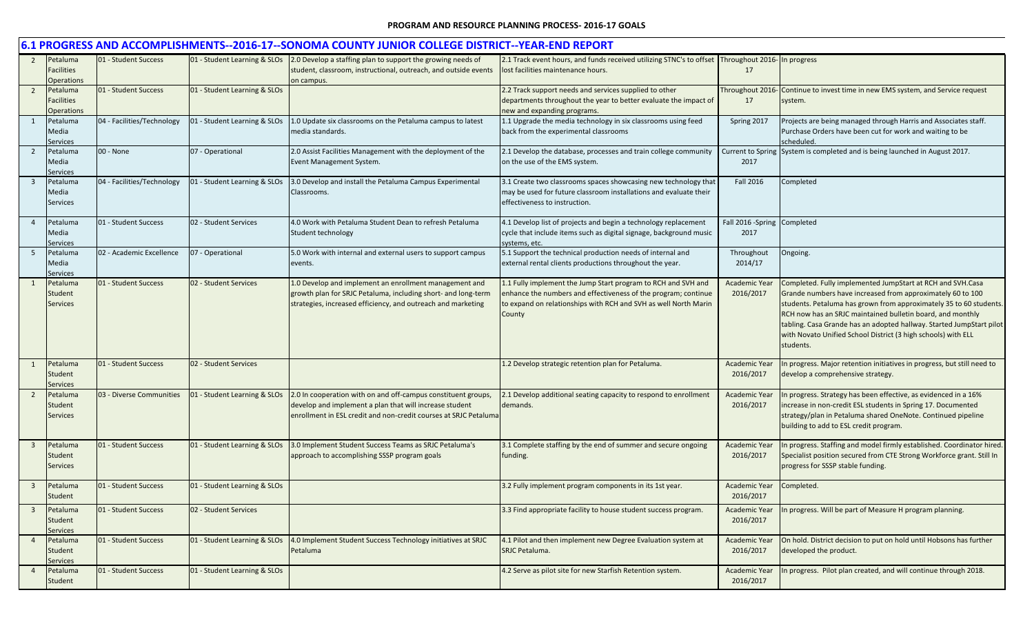|                         | 6.1 PROGRESS AND ACCOMPLISHMENTS--2016-17--SONOMA COUNTY JUNIOR COLLEGE DISTRICT--YEAR-END REPORT |                            |                              |                                                                                                                                                                                              |                                                                                                                                                                                                              |                                      |                                                                                                                                                                                                                                                                                                                                                                                                                    |  |  |
|-------------------------|---------------------------------------------------------------------------------------------------|----------------------------|------------------------------|----------------------------------------------------------------------------------------------------------------------------------------------------------------------------------------------|--------------------------------------------------------------------------------------------------------------------------------------------------------------------------------------------------------------|--------------------------------------|--------------------------------------------------------------------------------------------------------------------------------------------------------------------------------------------------------------------------------------------------------------------------------------------------------------------------------------------------------------------------------------------------------------------|--|--|
| $\overline{2}$          | Petaluma<br><b>Facilities</b><br>Operations                                                       | 01 - Student Success       | 01 - Student Learning & SLOs | 2.0 Develop a staffing plan to support the growing needs of<br>student, classroom, instructional, outreach, and outside events<br>on campus.                                                 | 2.1 Track event hours, and funds received utilizing STNC's to offset Throughout 2016- In progress<br>lost facilities maintenance hours.                                                                      | 17                                   |                                                                                                                                                                                                                                                                                                                                                                                                                    |  |  |
| $\overline{2}$          | Petaluma<br><b>Facilities</b><br>Operations                                                       | 01 - Student Success       | 01 - Student Learning & SLOs |                                                                                                                                                                                              | 2.2 Track support needs and services supplied to other<br>departments throughout the year to better evaluate the impact of<br>new and expanding programs.                                                    | 17                                   | Throughout 2016- Continue to invest time in new EMS system, and Service request<br>system.                                                                                                                                                                                                                                                                                                                         |  |  |
| 1                       | Petaluma<br>Media<br>Services                                                                     | 04 - Facilities/Technology | 01 - Student Learning & SLOs | 1.0 Update six classrooms on the Petaluma campus to latest<br>media standards.                                                                                                               | 1.1 Upgrade the media technology in six classrooms using feed<br>back from the experimental classrooms                                                                                                       | Spring 2017                          | Projects are being managed through Harris and Associates staff.<br>Purchase Orders have been cut for work and waiting to be<br>scheduled.                                                                                                                                                                                                                                                                          |  |  |
| $\overline{2}$          | Petaluma<br>Media<br>Services                                                                     | 00 - None                  | 07 - Operational             | 2.0 Assist Facilities Management with the deployment of the<br>Event Management System.                                                                                                      | 2.1 Develop the database, processes and train college community<br>on the use of the EMS system.                                                                                                             | 2017                                 | Current to Spring System is completed and is being launched in August 2017.                                                                                                                                                                                                                                                                                                                                        |  |  |
| $\overline{\mathbf{3}}$ | Petaluma<br>Media<br><b>Services</b>                                                              | 04 - Facilities/Technology | 01 - Student Learning & SLOs | 3.0 Develop and install the Petaluma Campus Experimental<br>Classrooms.                                                                                                                      | 3.1 Create two classrooms spaces showcasing new technology that<br>may be used for future classroom installations and evaluate their<br>effectiveness to instruction.                                        | Fall 2016                            | Completed                                                                                                                                                                                                                                                                                                                                                                                                          |  |  |
| $\overline{a}$          | Petaluma<br>Media<br>Services                                                                     | 01 - Student Success       | 02 - Student Services        | 4.0 Work with Petaluma Student Dean to refresh Petaluma<br>Student technology                                                                                                                | 4.1 Develop list of projects and begin a technology replacement<br>cycle that include items such as digital signage, background music<br>systems, etc.                                                       | Fall 2016 - Spring Completed<br>2017 |                                                                                                                                                                                                                                                                                                                                                                                                                    |  |  |
| -5                      | Petaluma<br>Media<br><b>Services</b>                                                              | 02 - Academic Excellence   | 07 - Operational             | 5.0 Work with internal and external users to support campus<br>events.                                                                                                                       | 5.1 Support the technical production needs of internal and<br>external rental clients productions throughout the year.                                                                                       | Throughout<br>2014/17                | Ongoing.                                                                                                                                                                                                                                                                                                                                                                                                           |  |  |
| 1                       | Petaluma<br>Student<br><b>Services</b>                                                            | 01 - Student Success       | 02 - Student Services        | 1.0 Develop and implement an enrollment management and<br>growth plan for SRJC Petaluma, including short- and long-term<br>strategies, increased efficiency, and outreach and marketing      | 1.1 Fully implement the Jump Start program to RCH and SVH and<br>enhance the numbers and effectiveness of the program; continue<br>to expand on relationships with RCH and SVH as well North Marin<br>County | <b>Academic Year</b><br>2016/2017    | Completed. Fully implemented JumpStart at RCH and SVH.Casa<br>Grande numbers have increased from approximately 60 to 100<br>students. Petaluma has grown from approximately 35 to 60 students.<br>RCH now has an SRJC maintained bulletin board, and monthly<br>tabling. Casa Grande has an adopted hallway. Started JumpStart pilot<br>with Novato Unified School District (3 high schools) with ELL<br>students. |  |  |
|                         | Petaluma<br>Student<br>services                                                                   | 01 - Student Success       | 02 - Student Services        |                                                                                                                                                                                              | 1.2 Develop strategic retention plan for Petaluma.                                                                                                                                                           | <b>Academic Year</b><br>2016/2017    | n progress. Major retention initiatives in progress, but still need to<br>develop a comprehensive strategy.                                                                                                                                                                                                                                                                                                        |  |  |
| $\overline{2}$          | Petaluma<br>Student<br><b>Services</b>                                                            | 03 - Diverse Communities   | 01 - Student Learning & SLOs | 2.0 In cooperation with on and off-campus constituent groups,<br>develop and implement a plan that will increase student<br>enrollment in ESL credit and non-credit courses at SRJC Petaluma | 2.1 Develop additional seating capacity to respond to enrollment<br>demands.                                                                                                                                 | <b>Academic Year</b><br>2016/2017    | In progress. Strategy has been effective, as evidenced in a 16%<br>increase in non-credit ESL students in Spring 17. Documented<br>strategy/plan in Petaluma shared OneNote. Continued pipeline<br>building to add to ESL credit program.                                                                                                                                                                          |  |  |
| $\overline{3}$          | Petaluma<br>Student<br><b>Services</b>                                                            | 01 - Student Success       | 01 - Student Learning & SLOs | 3.0 Implement Student Success Teams as SRJC Petaluma's<br>approach to accomplishing SSSP program goals                                                                                       | 3.1 Complete staffing by the end of summer and secure ongoing<br>funding.                                                                                                                                    | <b>Academic Year</b><br>2016/2017    | n progress. Staffing and model firmly established. Coordinator hired.<br>Specialist position secured from CTE Strong Workforce grant. Still In<br>progress for SSSP stable funding.                                                                                                                                                                                                                                |  |  |
| $\overline{\mathbf{3}}$ | Petaluma<br>Student                                                                               | 01 - Student Success       | 01 - Student Learning & SLOs |                                                                                                                                                                                              | 3.2 Fully implement program components in its 1st year.                                                                                                                                                      | Academic Year<br>2016/2017           | Completed.                                                                                                                                                                                                                                                                                                                                                                                                         |  |  |
| $\overline{\mathbf{3}}$ | Petaluma<br>Student<br>Services                                                                   | 01 - Student Success       | 02 - Student Services        |                                                                                                                                                                                              | 3.3 Find appropriate facility to house student success program.                                                                                                                                              | <b>Academic Year</b><br>2016/2017    | n progress. Will be part of Measure H program planning.                                                                                                                                                                                                                                                                                                                                                            |  |  |
| -4                      | Petaluma<br>Student<br>Services                                                                   | 01 - Student Success       | 01 - Student Learning & SLOs | 4.0 Implement Student Success Technology initiatives at SRJC<br>Petaluma                                                                                                                     | 4.1 Pilot and then implement new Degree Evaluation system at<br>SRJC Petaluma.                                                                                                                               | Academic Year<br>2016/2017           | On hold. District decision to put on hold until Hobsons has further<br>developed the product.                                                                                                                                                                                                                                                                                                                      |  |  |
| $\overline{4}$          | Petaluma<br>Student                                                                               | 01 - Student Success       | 01 - Student Learning & SLOs |                                                                                                                                                                                              | 4.2 Serve as pilot site for new Starfish Retention system.                                                                                                                                                   | <b>Academic Year</b><br>2016/2017    | n progress. Pilot plan created, and will continue through 2018.                                                                                                                                                                                                                                                                                                                                                    |  |  |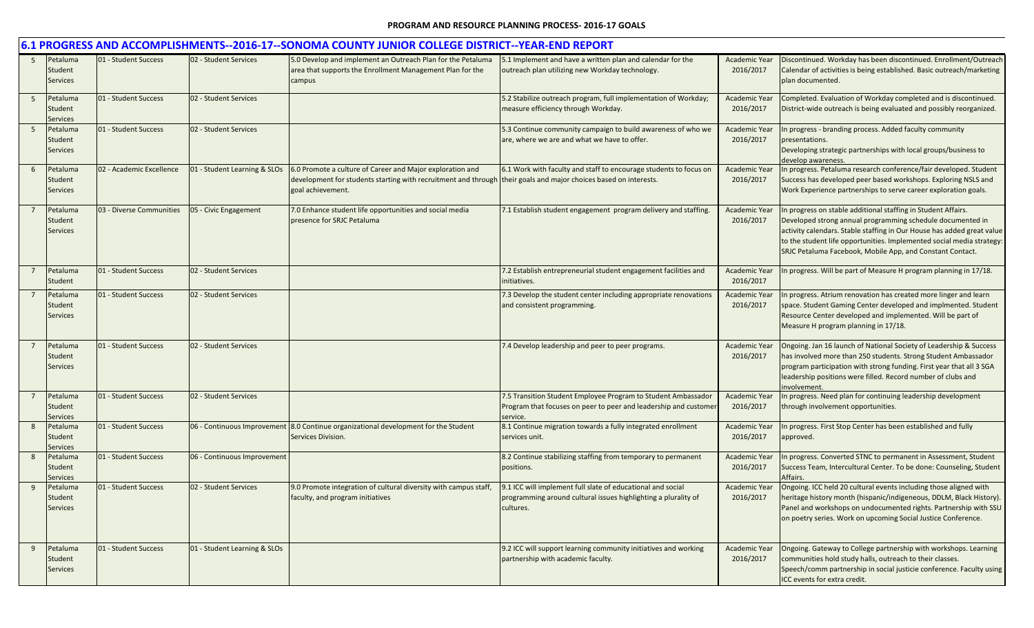|   |                                        |                          |                              | 6.1 PROGRESS AND ACCOMPLISHMENTS--2016-17--SONOMA COUNTY JUNIOR COLLEGE DISTRICT--YEAR-END REPORT                                                                                                  |                                                                                                                                               |                                   |                                                                                                                                                                                                                                                                                                                                             |
|---|----------------------------------------|--------------------------|------------------------------|----------------------------------------------------------------------------------------------------------------------------------------------------------------------------------------------------|-----------------------------------------------------------------------------------------------------------------------------------------------|-----------------------------------|---------------------------------------------------------------------------------------------------------------------------------------------------------------------------------------------------------------------------------------------------------------------------------------------------------------------------------------------|
| 5 | Petaluma<br>Student<br><b>Services</b> | 01 - Student Success     | 02 - Student Services        | 5.0 Develop and implement an Outreach Plan for the Petaluma<br>area that supports the Enrollment Management Plan for the<br>campus                                                                 | 5.1 Implement and have a written plan and calendar for the<br>outreach plan utilizing new Workday technology.                                 | <b>Academic Year</b><br>2016/2017 | Discontinued. Workday has been discontinued. Enrollment/Outreach<br>Calendar of activities is being established. Basic outreach/marketing<br>plan documented.                                                                                                                                                                               |
| 5 | Petaluma<br>Student<br><b>Services</b> | 01 - Student Success     | 02 - Student Services        |                                                                                                                                                                                                    | 5.2 Stabilize outreach program, full implementation of Workday;<br>measure efficiency through Workday.                                        | <b>Academic Year</b><br>2016/2017 | Completed. Evaluation of Workday completed and is discontinued.<br>District-wide outreach is being evaluated and possibly reorganized.                                                                                                                                                                                                      |
| 5 | Petaluma<br>Student<br><b>Services</b> | 01 - Student Success     | 02 - Student Services        |                                                                                                                                                                                                    | 5.3 Continue community campaign to build awareness of who we<br>are, where we are and what we have to offer.                                  | <b>Academic Year</b><br>2016/2017 | In progress - branding process. Added faculty community<br>presentations.<br>Developing strategic partnerships with local groups/business to<br>develop awareness.                                                                                                                                                                          |
| 6 | Petaluma<br>Student<br><b>Services</b> | 02 - Academic Excellence | 01 - Student Learning & SLOs | 6.0 Promote a culture of Career and Major exploration and<br>development for students starting with recruitment and through their goals and major choices based on interests.<br>goal achievement. | 6.1 Work with faculty and staff to encourage students to focus on                                                                             | <b>Academic Year</b><br>2016/2017 | In progress. Petaluma research conference/fair developed. Student<br>Success has developed peer based workshops. Exploring NSLS and<br>Work Experience partnerships to serve career exploration goals.                                                                                                                                      |
|   | Petaluma<br>Student<br><b>Services</b> | 03 - Diverse Communities | 05 - Civic Engagement        | 7.0 Enhance student life opportunities and social media<br>presence for SRJC Petaluma                                                                                                              | 7.1 Establish student engagement program delivery and staffing.                                                                               | <b>Academic Year</b><br>2016/2017 | In progress on stable additional staffing in Student Affairs.<br>Developed strong annual programming schedule documented in<br>activity calendars. Stable staffing in Our House has added great value<br>to the student life opportunities. Implemented social media strategy:<br>SRJC Petaluma Facebook, Mobile App, and Constant Contact. |
|   | Petaluma<br>Student                    | 01 - Student Success     | 02 - Student Services        |                                                                                                                                                                                                    | 7.2 Establish entrepreneurial student engagement facilities and<br>initiatives.                                                               | <b>Academic Year</b><br>2016/2017 | In progress. Will be part of Measure H program planning in 17/18.                                                                                                                                                                                                                                                                           |
|   | Petaluma<br>Student<br>Services        | 01 - Student Success     | 02 - Student Services        |                                                                                                                                                                                                    | 7.3 Develop the student center including appropriate renovations<br>and consistent programming.                                               | <b>Academic Year</b><br>2016/2017 | In progress. Atrium renovation has created more linger and learn<br>space. Student Gaming Center developed and implmented. Student<br>Resource Center developed and implemented. Will be part of<br>Measure H program planning in 17/18.                                                                                                    |
|   | Petaluma<br>Student<br><b>Services</b> | 01 - Student Success     | 02 - Student Services        |                                                                                                                                                                                                    | 7.4 Develop leadership and peer to peer programs.                                                                                             | <b>Academic Year</b><br>2016/2017 | Ongoing. Jan 16 launch of National Society of Leadership & Success<br>has involved more than 250 students. Strong Student Ambassador<br>program participation with strong funding. First year that all 3 SGA<br>leadership positions were filled. Record number of clubs and<br>involvement                                                 |
| 7 | Petaluma<br>Student<br><b>Services</b> | 01 - Student Success     | 02 - Student Services        |                                                                                                                                                                                                    | 7.5 Transition Student Employee Program to Student Ambassador<br>Program that focuses on peer to peer and leadership and customer<br>service. | Academic Year<br>2016/2017        | In progress. Need plan for continuing leadership development<br>through involvement opportunities.                                                                                                                                                                                                                                          |
| 8 | Petaluma<br>Student<br><b>Services</b> | 01 - Student Success     |                              | 06 - Continuous Improvement 8.0 Continue organizational development for the Student<br>Services Division.                                                                                          | 8.1 Continue migration towards a fully integrated enrollment<br>services unit.                                                                | <b>Academic Year</b><br>2016/2017 | n progress. First Stop Center has been established and fully<br>approved.                                                                                                                                                                                                                                                                   |
| 8 | Petaluma<br>Student<br><b>Services</b> | 01 - Student Success     | 06 - Continuous Improvement  |                                                                                                                                                                                                    | 8.2 Continue stabilizing staffing from temporary to permanent<br>positions.                                                                   | <b>Academic Year</b><br>2016/2017 | n progress. Converted STNC to permanent in Assessment, Student<br>Success Team, Intercultural Center. To be done: Counseling, Student<br><b>\ffairs</b>                                                                                                                                                                                     |
| 9 | Petaluma<br>Student<br><b>Services</b> | 01 - Student Success     | 02 - Student Services        | 9.0 Promote integration of cultural diversity with campus staff,<br>faculty, and program initiatives                                                                                               | 9.1 ICC will implement full slate of educational and social<br>programming around cultural issues highlighting a plurality of<br>cultures.    | <b>Academic Year</b><br>2016/2017 | Ongoing. ICC held 20 cultural events including those aligned with<br>heritage history month (hispanic/indigeneous, DDLM, Black History).<br>Panel and workshops on undocumented rights. Partnership with SSU<br>on poetry series. Work on upcoming Social Justice Conference.                                                               |
| 9 | Petaluma<br>Student<br><b>Services</b> | 01 - Student Success     | 01 - Student Learning & SLOs |                                                                                                                                                                                                    | 9.2 ICC will support learning community initiatives and working<br>partnership with academic faculty.                                         | <b>Academic Year</b><br>2016/2017 | Ongoing. Gateway to College partnership with workshops. Learning<br>communities hold study halls, outreach to their classes.<br>Speech/comm partnership in social justicie conference. Faculty using<br>ICC events for extra credit.                                                                                                        |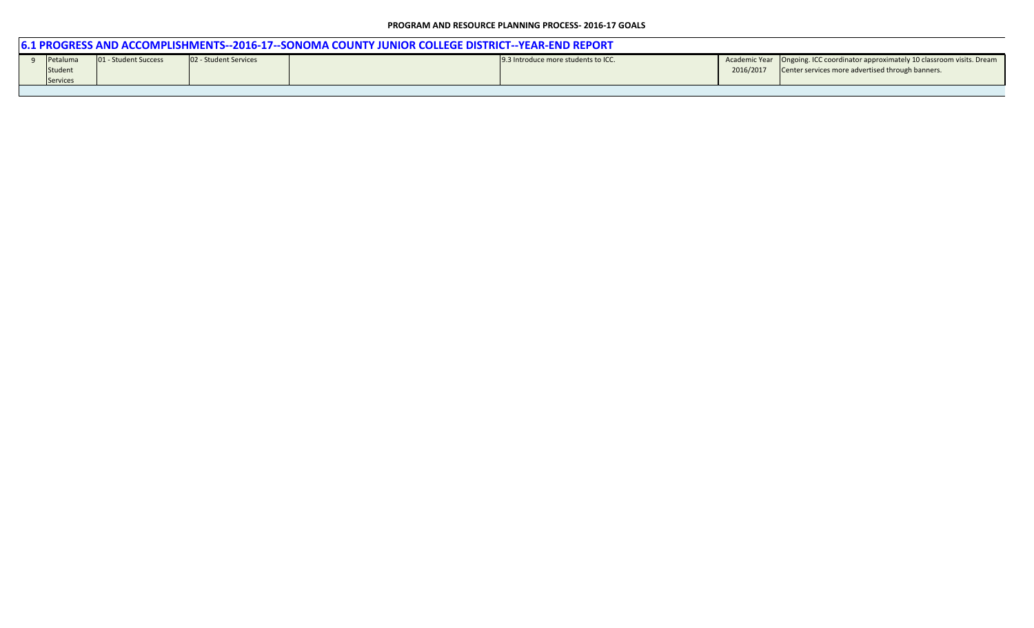| 6.1 PROGRESS AND ACCOMPLISHMENTS--2016-17--SONOMA COUNTY JUNIOR COLLEGE DISTRICT--YEAR-END REPORT |                      |                       |  |                                     |           |                                                                                   |  |  |  |  |  |
|---------------------------------------------------------------------------------------------------|----------------------|-----------------------|--|-------------------------------------|-----------|-----------------------------------------------------------------------------------|--|--|--|--|--|
| Petaluma                                                                                          | 01 - Student Success | 02 - Student Services |  | 9.3 Introduce more students to ICC. |           | Academic Year   Ongoing. ICC coordinator approximately 10 classroom visits. Dream |  |  |  |  |  |
| Student                                                                                           |                      |                       |  |                                     | 2016/2017 | Center services more advertised through banners.                                  |  |  |  |  |  |
| <b>Services</b>                                                                                   |                      |                       |  |                                     |           |                                                                                   |  |  |  |  |  |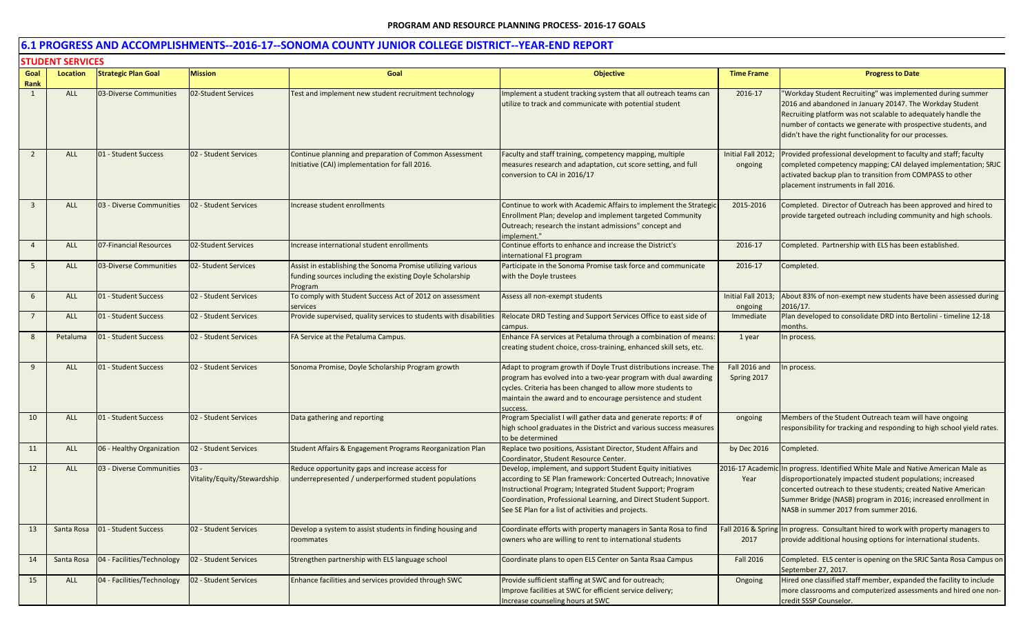|                | <b>STUDENT SERVICES</b> |                            |                                        |                                                                                                                                    |                                                                                                                                                                                                                                                                                                                      |                               |                                                                                                                                                                                                                                                                                                                          |  |
|----------------|-------------------------|----------------------------|----------------------------------------|------------------------------------------------------------------------------------------------------------------------------------|----------------------------------------------------------------------------------------------------------------------------------------------------------------------------------------------------------------------------------------------------------------------------------------------------------------------|-------------------------------|--------------------------------------------------------------------------------------------------------------------------------------------------------------------------------------------------------------------------------------------------------------------------------------------------------------------------|--|
| Goal           | Location                | <b>Strategic Plan Goal</b> | <b>Mission</b>                         | Goal                                                                                                                               | <b>Objective</b>                                                                                                                                                                                                                                                                                                     | <b>Time Frame</b>             | <b>Progress to Date</b>                                                                                                                                                                                                                                                                                                  |  |
| Rank           |                         |                            |                                        |                                                                                                                                    |                                                                                                                                                                                                                                                                                                                      |                               |                                                                                                                                                                                                                                                                                                                          |  |
| 1              | <b>ALL</b>              | 03-Diverse Communities     | 02-Student Services                    | Test and implement new student recruitment technology                                                                              | Implement a student tracking system that all outreach teams can<br>utilize to track and communicate with potential student                                                                                                                                                                                           | 2016-17                       | "Workday Student Recruiting" was implemented during summer<br>2016 and abandoned in January 20147. The Workday Student<br>Recruiting platform was not scalable to adequately handle the<br>number of contacts we generate with prospective students, and<br>didn't have the right functionality for our processes.       |  |
| $\overline{2}$ | <b>ALL</b>              | 01 - Student Success       | 02 - Student Services                  | Continue planning and preparation of Common Assessment<br>Initiative (CAI) implementation for fall 2016.                           | Faculty and staff training, competency mapping, multiple<br>measures research and adaptation, cut score setting, and full<br>conversion to CAI in 2016/17                                                                                                                                                            | Initial Fall 2012;<br>ongoing | Provided professional development to faculty and staff; faculty<br>completed competency mapping; CAI delayed implementation; SRJC<br>activated backup plan to transition from COMPASS to other<br>placement instruments in fall 2016.                                                                                    |  |
| 3              | <b>ALL</b>              | 03 - Diverse Communities   | 2 - Student Services                   | ncrease student enrollments                                                                                                        | Continue to work with Academic Affairs to implement the Strategic<br>Enrollment Plan; develop and implement targeted Community<br>Outreach; research the instant admissions" concept and<br>mplement."                                                                                                               | 2015-2016                     | Completed. Director of Outreach has been approved and hired to<br>provide targeted outreach including community and high schools.                                                                                                                                                                                        |  |
| $\overline{4}$ | <b>ALL</b>              | 07-Financial Resources     | 02-Student Services                    | Increase international student enrollments                                                                                         | Continue efforts to enhance and increase the District's<br>international F1 program                                                                                                                                                                                                                                  | 2016-17                       | Completed. Partnership with ELS has been established.                                                                                                                                                                                                                                                                    |  |
| 5              | <b>ALL</b>              | 03-Diverse Communities     | 02- Student Services                   | Assist in establishing the Sonoma Promise utilizing various<br>funding sources including the existing Doyle Scholarship<br>Program | Participate in the Sonoma Promise task force and communicate<br>with the Doyle trustees                                                                                                                                                                                                                              | 2016-17                       | Completed.                                                                                                                                                                                                                                                                                                               |  |
| 6              | <b>ALL</b>              | 01 - Student Success       | 02 - Student Services                  | To comply with Student Success Act of 2012 on assessment<br>services                                                               | Assess all non-exempt students                                                                                                                                                                                                                                                                                       | Initial Fall 2013;<br>ongoing | About 83% of non-exempt new students have been assessed during<br>2016/17.                                                                                                                                                                                                                                               |  |
| $7^{\circ}$    | ALL                     | 01 - Student Success       | 02 - Student Services                  | Provide supervised, quality services to students with disabilities                                                                 | Relocate DRD Testing and Support Services Office to east side of<br>campus.                                                                                                                                                                                                                                          | Immediate                     | Plan developed to consolidate DRD into Bertolini - timeline 12-18<br>months.                                                                                                                                                                                                                                             |  |
| 8              | Petaluma                | 01 - Student Success       | 02 - Student Services                  | FA Service at the Petaluma Campus.                                                                                                 | Enhance FA services at Petaluma through a combination of means:<br>creating student choice, cross-training, enhanced skill sets, etc.                                                                                                                                                                                | 1 year                        | n process.                                                                                                                                                                                                                                                                                                               |  |
| 9              | <b>ALL</b>              | 01 - Student Success       | 02 - Student Services                  | Sonoma Promise, Doyle Scholarship Program growth                                                                                   | Adapt to program growth if Doyle Trust distributions increase. The<br>program has evolved into a two-year program with dual awarding<br>cycles. Criteria has been changed to allow more students to<br>maintain the award and to encourage persistence and student<br>uccess                                         | Fall 2016 and<br>Spring 2017  | In process.                                                                                                                                                                                                                                                                                                              |  |
| 10             | <b>ALL</b>              | 01 - Student Success       | 02 - Student Services                  | Data gathering and reporting                                                                                                       | Program Specialist I will gather data and generate reports: # of<br>high school graduates in the District and various success measures<br>to be determined                                                                                                                                                           | ongoing                       | Members of the Student Outreach team will have ongoing<br>responsibility for tracking and responding to high school yield rates.                                                                                                                                                                                         |  |
| 11             | <b>ALL</b>              | 06 - Healthy Organization  | 02 - Student Services                  | Student Affairs & Engagement Programs Reorganization Plan                                                                          | Replace two positions, Assistant Director, Student Affairs and<br>Coordinator, Student Resource Center.                                                                                                                                                                                                              | by Dec 2016                   | Completed.                                                                                                                                                                                                                                                                                                               |  |
| 12             | <b>ALL</b>              | 03 - Diverse Communities   | $103 -$<br>Vitality/Equity/Stewardship | Reduce opportunity gaps and increase access for<br>underrepresented / underperformed student populations                           | Develop, implement, and support Student Equity initiatives<br>according to SE Plan framework: Concerted Outreach; Innovative<br>Instructional Program; Integrated Student Support; Program<br>Coordination, Professional Learning, and Direct Student Support.<br>See SE Plan for a list of activities and projects. | Year                          | 2016-17 Academic In progress. Identified White Male and Native American Male as<br>disproportionately impacted student populations; increased<br>concerted outreach to these students; created Native American<br>Summer Bridge (NASB) program in 2016; increased enrollment in<br>NASB in summer 2017 from summer 2016. |  |
| 13             | Santa Rosa              | 01 - Student Success       | 02 - Student Services                  | Develop a system to assist students in finding housing and<br>roommates                                                            | Coordinate efforts with property managers in Santa Rosa to find<br>owners who are willing to rent to international students                                                                                                                                                                                          | 2017                          | Fall 2016 & Spring In progress. Consultant hired to work with property managers to<br>provide additional housing options for international students.                                                                                                                                                                     |  |
| 14             | Santa Rosa              | 04 - Facilities/Technology | 02 - Student Services                  | Strengthen partnership with ELS language school                                                                                    | Coordinate plans to open ELS Center on Santa Rsaa Campus                                                                                                                                                                                                                                                             | Fall 2016                     | Completed. ELS center is opening on the SRJC Santa Rosa Campus on<br>September 27, 2017.                                                                                                                                                                                                                                 |  |
| 15             | ALL                     | 04 - Facilities/Technology | 02 - Student Services                  | Enhance facilities and services provided through SWC                                                                               | Provide sufficient staffing at SWC and for outreach;<br>Improve facilities at SWC for efficient service delivery;<br>Increase counseling hours at SWC                                                                                                                                                                | Ongoing                       | Hired one classified staff member, expanded the facility to include<br>more classrooms and computerized assessments and hired one non-<br>credit SSSP Counselor.                                                                                                                                                         |  |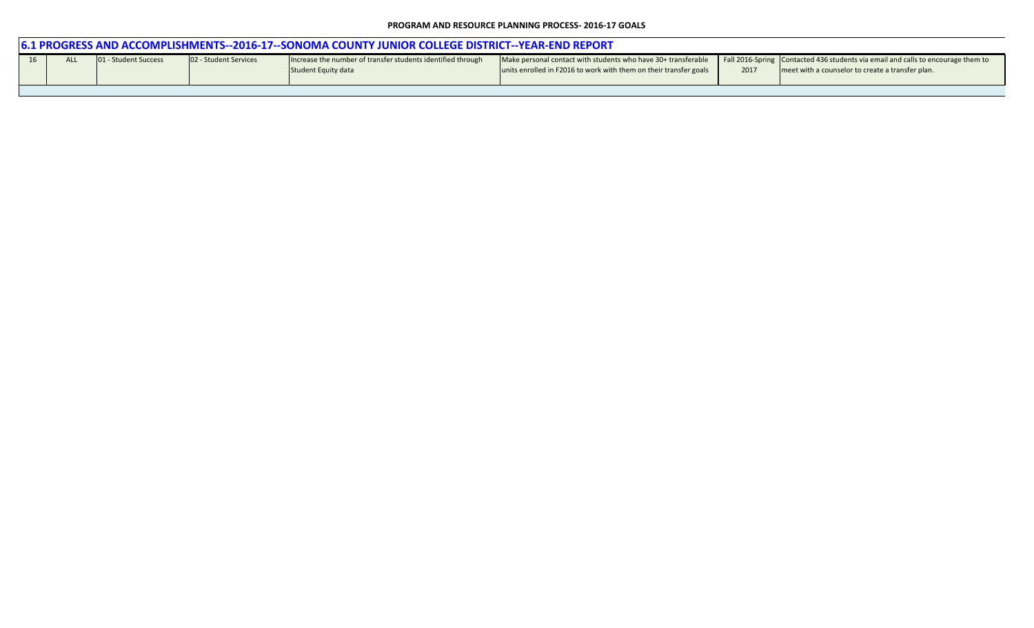| <u>16.1 PROGRESS AND ACCOMPLISHMENTS--2016-17--SONOMA COUNTY JUNIOR COLLEGE DISTRICT--YEAR-END REPORT</u> |                                                                                                                                                                                                                                                                                                                                                                                                                |  |  |  |  |  |  |  |  |  |
|-----------------------------------------------------------------------------------------------------------|----------------------------------------------------------------------------------------------------------------------------------------------------------------------------------------------------------------------------------------------------------------------------------------------------------------------------------------------------------------------------------------------------------------|--|--|--|--|--|--|--|--|--|
|                                                                                                           | Make personal contact with students who have 30+ transferable Fall 2016-Spring Contacted 436 students via email and calls to encourage them to<br>01 - Student Success<br>02 - Student Services<br>Increase the number of transfer students identified through<br>units enrolled in F2016 to work with them on their transfer goals<br>meet with a counselor to create a transfer plan.<br>Student Equity data |  |  |  |  |  |  |  |  |  |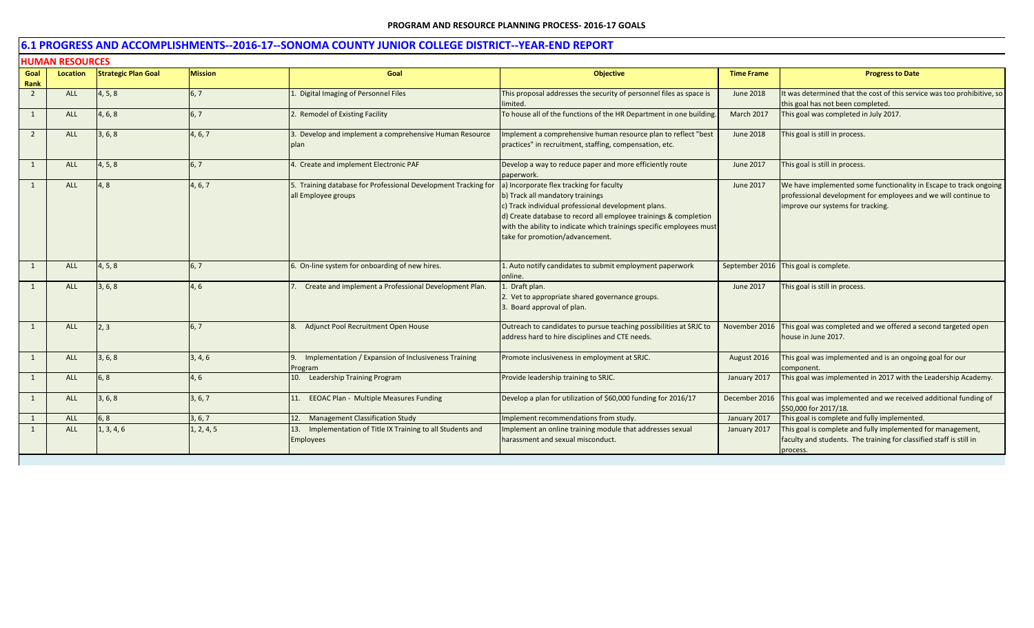|                | <b>HUMAN RESOURCES</b> |                            |                |                                                                                       |                                                                                                                                                                                                                                                                                                                    |                   |                                                                                                                                                                          |  |  |  |
|----------------|------------------------|----------------------------|----------------|---------------------------------------------------------------------------------------|--------------------------------------------------------------------------------------------------------------------------------------------------------------------------------------------------------------------------------------------------------------------------------------------------------------------|-------------------|--------------------------------------------------------------------------------------------------------------------------------------------------------------------------|--|--|--|
| Goal<br>Rank   | <b>Location</b>        | <b>Strategic Plan Goal</b> | <b>Mission</b> | Goal                                                                                  | <b>Objective</b>                                                                                                                                                                                                                                                                                                   | <b>Time Frame</b> | <b>Progress to Date</b>                                                                                                                                                  |  |  |  |
| $\overline{2}$ | ALL                    | 4, 5, 8                    | 6, 7           | Digital Imaging of Personnel Files                                                    | This proposal addresses the security of personnel files as space is<br>limited.                                                                                                                                                                                                                                    | <b>June 2018</b>  | It was determined that the cost of this service was too prohibitive, so<br>this goal has not been completed.                                                             |  |  |  |
| 1              | ALL                    | 4, 6, 8                    | 6, 7           | 2. Remodel of Existing Facility                                                       | To house all of the functions of the HR Department in one building.                                                                                                                                                                                                                                                | March 2017        | This goal was completed in July 2017.                                                                                                                                    |  |  |  |
| 2              | <b>ALL</b>             | 3, 6, 8                    | 4, 6, 7        | 3. Develop and implement a comprehensive Human Resource<br>plan                       | Implement a comprehensive human resource plan to reflect "best<br>practices" in recruitment, staffing, compensation, etc.                                                                                                                                                                                          | <b>June 2018</b>  | This goal is still in process.                                                                                                                                           |  |  |  |
| $\mathbf{1}$   | <b>ALL</b>             | 4, 5, 8                    | 6, 7           | 4. Create and implement Electronic PAF                                                | Develop a way to reduce paper and more efficiently route<br>paperwork.                                                                                                                                                                                                                                             | June 2017         | This goal is still in process.                                                                                                                                           |  |  |  |
| 1              | <b>ALL</b>             | 4.8                        | 4, 6, 7        | 5. Training database for Professional Development Tracking for<br>all Employee groups | a) Incorporate flex tracking for faculty<br>b) Track all mandatory trainings<br>c) Track individual professional development plans.<br>d) Create database to record all employee trainings & completion<br>with the ability to indicate which trainings specific employees must<br>take for promotion/advancement. | June 2017         | We have implemented some functionality in Escape to track ongoing<br>professional development for employees and we will continue to<br>improve our systems for tracking. |  |  |  |
| 1              | <b>ALL</b>             | 4, 5, 8                    | 6, 7           | 6. On-line system for onboarding of new hires.                                        | 1. Auto notify candidates to submit employment paperwork<br>online.                                                                                                                                                                                                                                                |                   | September 2016 This goal is complete.                                                                                                                                    |  |  |  |
|                | ALL                    | 3, 6, 8                    | 4, 6           | Create and implement a Professional Development Plan.                                 | Draft plan.<br>2. Vet to appropriate shared governance groups.<br>3. Board approval of plan.                                                                                                                                                                                                                       | June 2017         | This goal is still in process.                                                                                                                                           |  |  |  |
| 1              | <b>ALL</b>             | 2,3                        | 6, 7           | Adjunct Pool Recruitment Open House                                                   | Outreach to candidates to pursue teaching possibilities at SRJC to<br>address hard to hire disciplines and CTE needs.                                                                                                                                                                                              | November 2016     | This goal was completed and we offered a second targeted open<br>house in June 2017.                                                                                     |  |  |  |
| 1              | <b>ALL</b>             | 3, 6, 8                    | 3, 4, 6        | Implementation / Expansion of Inclusiveness Training<br>Program                       | Promote inclusiveness in employment at SRJC.                                                                                                                                                                                                                                                                       | August 2016       | This goal was implemented and is an ongoing goal for our<br>component.                                                                                                   |  |  |  |
| 1              | <b>ALL</b>             | 6, 8                       | 4,6            | 10. Leadership Training Program                                                       | Provide leadership training to SRJC.                                                                                                                                                                                                                                                                               | January 2017      | This goal was implemented in 2017 with the Leadership Academy.                                                                                                           |  |  |  |
| -1             | <b>ALL</b>             | 3, 6, 8                    | 3, 6, 7        | 11. EEOAC Plan - Multiple Measures Funding                                            | Develop a plan for utilization of \$60,000 funding for 2016/17                                                                                                                                                                                                                                                     | December 2016     | This goal was implemented and we received additional funding of<br>\$50,000 for 2017/18.                                                                                 |  |  |  |
| 1              | <b>ALL</b>             | 6, 8                       | 3, 6, 7        | 12. Management Classification Study                                                   | Implement recommendations from study.                                                                                                                                                                                                                                                                              | January 2017      | This goal is complete and fully implemented.                                                                                                                             |  |  |  |
| 1              | <b>ALL</b>             | 1, 3, 4, 6                 | 1, 2, 4, 5     | 13. Implementation of Title IX Training to all Students and<br><b>Employees</b>       | Implement an online training module that addresses sexual<br>harassment and sexual misconduct.                                                                                                                                                                                                                     | January 2017      | This goal is complete and fully implemented for management,<br>faculty and students. The training for classified staff is still in<br>process.                           |  |  |  |
|                |                        |                            |                |                                                                                       |                                                                                                                                                                                                                                                                                                                    |                   |                                                                                                                                                                          |  |  |  |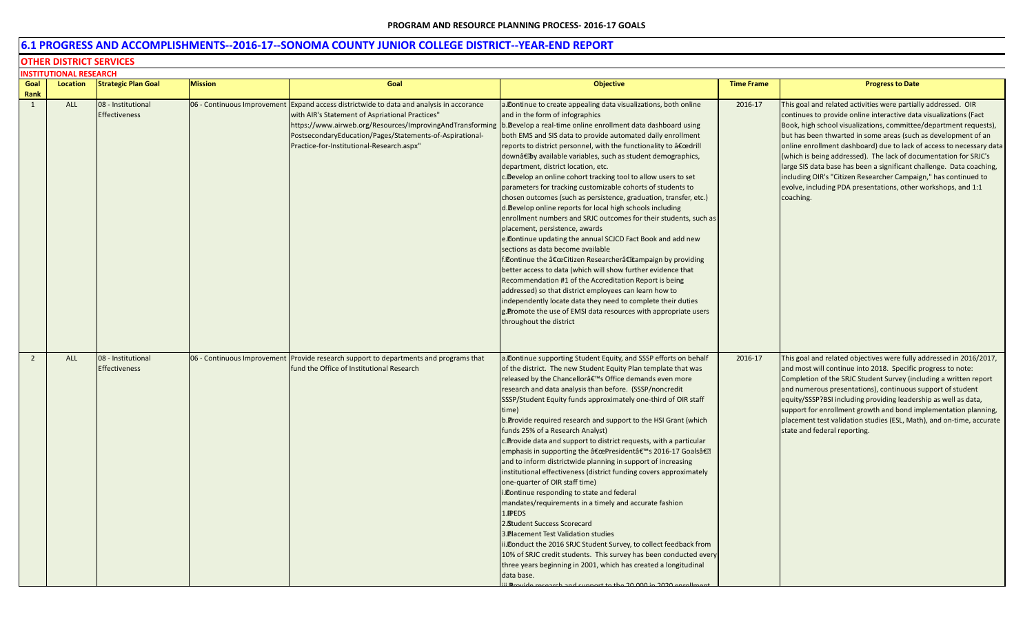## **6.1 PROGRESS AND ACCOMPLISHMENTS--2016-17--SONOMA COUNTY JUNIOR COLLEGE DISTRICT--YEAR-END REPORT**

#### **OTHER DISTRICT SERVICES**

|                | INSTITUTIONAL RESEARCH |                                            |                             |                                                                                                                                                                                                                                                                                                                                                    |                                                                                                                                                                                                                                                                                                                                                                                                                                                                                                                                                                                                                                                                                                                                                                                                                                                                                                                                                                                                                                                                                                                                                                                                                                          |                   |                                                                                                                                                                                                                                                                                                                                                                                                                                                                                                                                                                                                                                                 |
|----------------|------------------------|--------------------------------------------|-----------------------------|----------------------------------------------------------------------------------------------------------------------------------------------------------------------------------------------------------------------------------------------------------------------------------------------------------------------------------------------------|------------------------------------------------------------------------------------------------------------------------------------------------------------------------------------------------------------------------------------------------------------------------------------------------------------------------------------------------------------------------------------------------------------------------------------------------------------------------------------------------------------------------------------------------------------------------------------------------------------------------------------------------------------------------------------------------------------------------------------------------------------------------------------------------------------------------------------------------------------------------------------------------------------------------------------------------------------------------------------------------------------------------------------------------------------------------------------------------------------------------------------------------------------------------------------------------------------------------------------------|-------------------|-------------------------------------------------------------------------------------------------------------------------------------------------------------------------------------------------------------------------------------------------------------------------------------------------------------------------------------------------------------------------------------------------------------------------------------------------------------------------------------------------------------------------------------------------------------------------------------------------------------------------------------------------|
| Goal<br>Rank   | Location               | <b>Strategic Plan Goal</b>                 | <b>Mission</b>              | Goal                                                                                                                                                                                                                                                                                                                                               | <b>Objective</b>                                                                                                                                                                                                                                                                                                                                                                                                                                                                                                                                                                                                                                                                                                                                                                                                                                                                                                                                                                                                                                                                                                                                                                                                                         | <b>Time Frame</b> | <b>Progress to Date</b>                                                                                                                                                                                                                                                                                                                                                                                                                                                                                                                                                                                                                         |
| $\mathbf{1}$   | ALL                    | 08 - Institutional<br><b>Effectiveness</b> | 06 - Continuous Improvement | Expand access districtwide to data and analysis in accorance<br>with AIR's Statement of Aspriational Practices"<br>https://www.airweb.org/Resources/ImprovingAndTransforming b.Develop a real-time online enrollment data dashboard using<br>PostsecondaryEducation/Pages/Statements-of-Aspirational-<br>Practice-for-Institutional-Research.aspx" | a. Continue to create appealing data visualizations, both online<br>and in the form of infographics<br>both EMS and SIS data to provide automated daily enrollment<br>reports to district personnel, with the functionality to "drill<br>down†®y available variables, such as student demographics,<br>department, district location, etc.<br>c. Develop an online cohort tracking tool to allow users to set<br>parameters for tracking customizable cohorts of students to<br>chosen outcomes (such as persistence, graduation, transfer, etc.)<br>d. Develop online reports for local high schools including<br>enrollment numbers and SRJC outcomes for their students, such as<br>placement, persistence, awards<br>e. Continue updating the annual SCJCD Fact Book and add new<br>sections as data become available<br>f.@ontinue the "Citizen Researcher†tampaign by providing<br>better access to data (which will show further evidence that<br>Recommendation #1 of the Accreditation Report is being<br>addressed) so that district employees can learn how to<br>independently locate data they need to complete their duties<br>g. Promote the use of EMSI data resources with appropriate users<br>throughout the district | 2016-17           | This goal and related activities were partially addressed. OIR<br>continues to provide online interactive data visualizations (Fact<br>Book, high school visualizations, committee/department requests),<br>but has been thwarted in some areas (such as development of an<br>online enrollment dashboard) due to lack of access to necessary data<br>(which is being addressed). The lack of documentation for SRJC's<br>large SIS data base has been a significant challenge. Data coaching,<br>including OIR's "Citizen Researcher Campaign," has continued to<br>evolve, including PDA presentations, other workshops, and 1:1<br>coaching. |
| $\overline{2}$ | <b>ALL</b>             | 08 - Institutional<br><b>Effectiveness</b> |                             | 06 - Continuous Improvement Provide research support to departments and programs that<br>fund the Office of Institutional Research                                                                                                                                                                                                                 | a. Continue supporting Student Equity, and SSSP efforts on behalf<br>of the district. The new Student Equity Plan template that was<br>released by the Chancellorâ€ <sup>™</sup> s Office demands even more<br>research and data analysis than before. (SSSP/noncredit<br>SSSP/Student Equity funds approximately one-third of OIR staff<br>time)<br>b. Provide required research and support to the HSI Grant (which<br>funds 25% of a Research Analyst)<br>c. Provide data and support to district requests, with a particular<br>emphasis in supporting the "President's 2016-17 Goals�<br>and to inform districtwide planning in support of increasing<br>institutional effectiveness (district funding covers approximately<br>one-quarter of OIR staff time)<br>.Dontinue responding to state and federal<br>mandates/requirements in a timely and accurate fashion<br>1.EPEDS<br>2. Student Success Scorecard<br>3. Placement Test Validation studies<br>ii. Conduct the 2016 SRJC Student Survey, to collect feedback from<br>10% of SRJC credit students. This survey has been conducted every<br>three years beginning in 2001, which has created a longitudinal<br>data base.<br>$+ +$ to the 20,000 in 2020                  | 2016-17           | This goal and related objectives were fully addressed in 2016/2017,<br>and most will continue into 2018. Specific progress to note:<br>Completion of the SRJC Student Survey (including a written report<br>and numerous presentations), continuous support of student<br>equity/SSSP?BSI including providing leadership as well as data,<br>support for enrollment growth and bond implementation planning,<br>placement test validation studies (ESL, Math), and on-time, accurate<br>state and federal reporting.                                                                                                                            |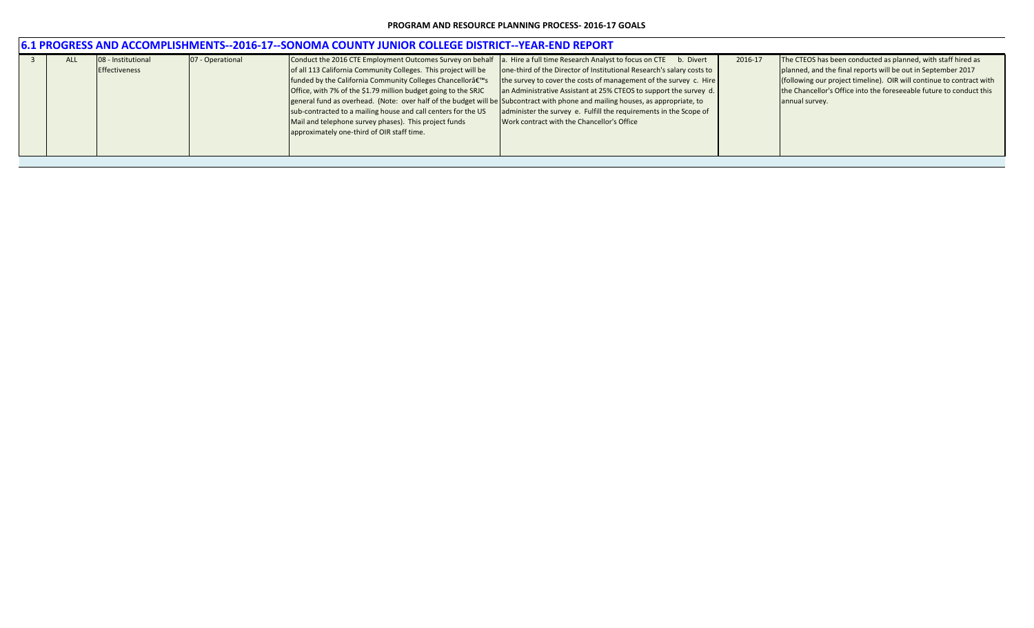| Conduct the 2016 CTE Employment Outcomes Survey on behalf<br>a. Hire a full time Research Analyst to focus on CTE b. Divert<br>07 - Operational<br>The CTEOS has been conducted as planned, with staff hired as<br>08 - Institutional<br>2016-17<br><b>ALL</b><br>one-third of the Director of Institutional Research's salary costs to<br>of all 113 California Community Colleges. This project will be<br>planned, and the final reports will be out in September 2017<br>Effectiveness<br>(following our project timeline). OIR will continue to contract with<br>the survey to cover the costs of management of the survey c. Hire<br>funded by the California Community Colleges Chancellorâ€ <sup>™</sup> s<br>the Chancellor's Office into the foreseeable future to conduct this<br>Office, with 7% of the \$1.79 million budget going to the SRJC<br>an Administrative Assistant at 25% CTEOS to support the survey d.<br>general fund as overhead. (Note: over half of the budget will be Subcontract with phone and mailing houses, as appropriate, to<br>annual survey.<br>administer the survey e. Fulfill the requirements in the Scope of<br>sub-contracted to a mailing house and call centers for the US<br>Mail and telephone survey phases). This project funds<br>Work contract with the Chancellor's Office<br>approximately one-third of OIR staff time. | 6.1 PROGRESS AND ACCOMPLISHMENTS--2016-17--SONOMA COUNTY JUNIOR COLLEGE DISTRICT--YEAR-END REPORT |  |  |  |  |  |  |  |  |  |  |
|---------------------------------------------------------------------------------------------------------------------------------------------------------------------------------------------------------------------------------------------------------------------------------------------------------------------------------------------------------------------------------------------------------------------------------------------------------------------------------------------------------------------------------------------------------------------------------------------------------------------------------------------------------------------------------------------------------------------------------------------------------------------------------------------------------------------------------------------------------------------------------------------------------------------------------------------------------------------------------------------------------------------------------------------------------------------------------------------------------------------------------------------------------------------------------------------------------------------------------------------------------------------------------------------------------------------------------------------------------------------------------|---------------------------------------------------------------------------------------------------|--|--|--|--|--|--|--|--|--|--|
|                                                                                                                                                                                                                                                                                                                                                                                                                                                                                                                                                                                                                                                                                                                                                                                                                                                                                                                                                                                                                                                                                                                                                                                                                                                                                                                                                                                 |                                                                                                   |  |  |  |  |  |  |  |  |  |  |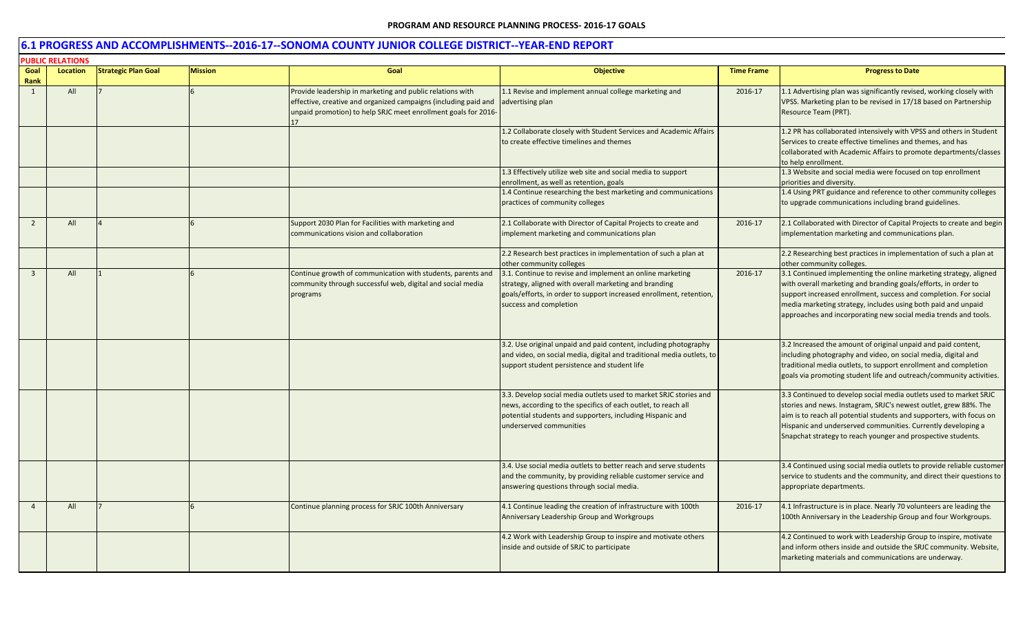|                | <b>PUBLIC RELATIONS</b> |                            |                |                                                                                                                                                                                                |                                                                                                                                                                                                                            |                   |                                                                                                                                                                                                                                                                                                                                               |
|----------------|-------------------------|----------------------------|----------------|------------------------------------------------------------------------------------------------------------------------------------------------------------------------------------------------|----------------------------------------------------------------------------------------------------------------------------------------------------------------------------------------------------------------------------|-------------------|-----------------------------------------------------------------------------------------------------------------------------------------------------------------------------------------------------------------------------------------------------------------------------------------------------------------------------------------------|
| Goal<br>Rank   | Location                | <b>Strategic Plan Goal</b> | <b>Mission</b> | Goal                                                                                                                                                                                           | <b>Objective</b>                                                                                                                                                                                                           | <b>Time Frame</b> | <b>Progress to Date</b>                                                                                                                                                                                                                                                                                                                       |
| 1              | All                     |                            |                | Provide leadership in marketing and public relations with<br>effective, creative and organized campaigns (including paid and<br>unpaid promotion) to help SRJC meet enrollment goals for 2016- | 1.1 Revise and implement annual college marketing and<br>advertising plan                                                                                                                                                  | 2016-17           | 1.1 Advertising plan was significantly revised, working closely with<br>VPSS. Marketing plan to be revised in 17/18 based on Partnership<br>Resource Team (PRT).                                                                                                                                                                              |
|                |                         |                            |                |                                                                                                                                                                                                | 1.2 Collaborate closely with Student Services and Academic Affairs<br>to create effective timelines and themes                                                                                                             |                   | 1.2 PR has collaborated intensively with VPSS and others in Student<br>Services to create effective timelines and themes, and has<br>collaborated with Academic Affairs to promote departments/classes<br>to help enrollment.                                                                                                                 |
|                |                         |                            |                |                                                                                                                                                                                                | 1.3 Effectively utilize web site and social media to support<br>enrollment, as well as retention, goals                                                                                                                    |                   | 1.3 Website and social media were focused on top enrollment<br>priorities and diversity.                                                                                                                                                                                                                                                      |
|                |                         |                            |                |                                                                                                                                                                                                | 1.4 Continue researching the best marketing and communications<br>practices of community colleges                                                                                                                          |                   | 1.4 Using PRT guidance and reference to other community colleges<br>to upgrade communications including brand guidelines.                                                                                                                                                                                                                     |
| $\overline{2}$ | All                     |                            |                | Support 2030 Plan for Facilities with marketing and<br>communications vision and collaboration                                                                                                 | 2.1 Collaborate with Director of Capital Projects to create and<br>implement marketing and communications plan                                                                                                             | 2016-17           | 2.1 Collaborated with Director of Capital Projects to create and begin<br>implementation marketing and communications plan.                                                                                                                                                                                                                   |
|                |                         |                            |                |                                                                                                                                                                                                | 2.2 Research best practices in implementation of such a plan at<br>other community colleges                                                                                                                                |                   | 2.2 Researching best practices in implementation of such a plan at<br>other community colleges.                                                                                                                                                                                                                                               |
|                | All                     |                            |                | Continue growth of communication with students, parents and<br>community through successful web, digital and social media<br>programs                                                          | 3.1. Continue to revise and implement an online marketing<br>strategy, aligned with overall marketing and branding<br>goals/efforts, in order to support increased enrollment, retention,<br>success and completion        | 2016-17           | 3.1 Continued implementing the online marketing strategy, aligned<br>with overall marketing and branding goals/efforts, in order to<br>support increased enrollment, success and completion. For social<br>media marketing strategy, includes using both paid and unpaid<br>approaches and incorporating new social media trends and tools.   |
|                |                         |                            |                |                                                                                                                                                                                                | 3.2. Use original unpaid and paid content, including photography<br>and video, on social media, digital and traditional media outlets, to<br>support student persistence and student life                                  |                   | 3.2 Increased the amount of original unpaid and paid content,<br>including photography and video, on social media, digital and<br>traditional media outlets, to support enrollment and completion<br>goals via promoting student life and outreach/community activities.                                                                      |
|                |                         |                            |                |                                                                                                                                                                                                | 3.3. Develop social media outlets used to market SRJC stories and<br>news, according to the specifics of each outlet, to reach all<br>potential students and supporters, including Hispanic and<br>underserved communities |                   | 3.3 Continued to develop social media outlets used to market SRJC<br>stories and news. Instagram, SRJC's newest outlet, grew 88%. The<br>aim is to reach all potential students and supporters, with focus on<br>Hispanic and underserved communities. Currently developing a<br>Snapchat strategy to reach younger and prospective students. |
|                |                         |                            |                |                                                                                                                                                                                                | 3.4. Use social media outlets to better reach and serve students<br>and the community, by providing reliable customer service and<br>answering questions through social media.                                             |                   | 3.4 Continued using social media outlets to provide reliable customer<br>service to students and the community, and direct their questions to<br>appropriate departments.                                                                                                                                                                     |
|                | All                     |                            |                | Continue planning process for SRJC 100th Anniversary                                                                                                                                           | 4.1 Continue leading the creation of infrastructure with 100th<br>Anniversary Leadership Group and Workgroups                                                                                                              | 2016-17           | 4.1 Infrastructure is in place. Nearly 70 volunteers are leading the<br>100th Anniversary in the Leadership Group and four Workgroups.                                                                                                                                                                                                        |
|                |                         |                            |                |                                                                                                                                                                                                | 4.2 Work with Leadership Group to inspire and motivate others<br>inside and outside of SRJC to participate                                                                                                                 |                   | 4.2 Continued to work with Leadership Group to inspire, motivate<br>and inform others inside and outside the SRJC community. Website,<br>marketing materials and communications are underway.                                                                                                                                                 |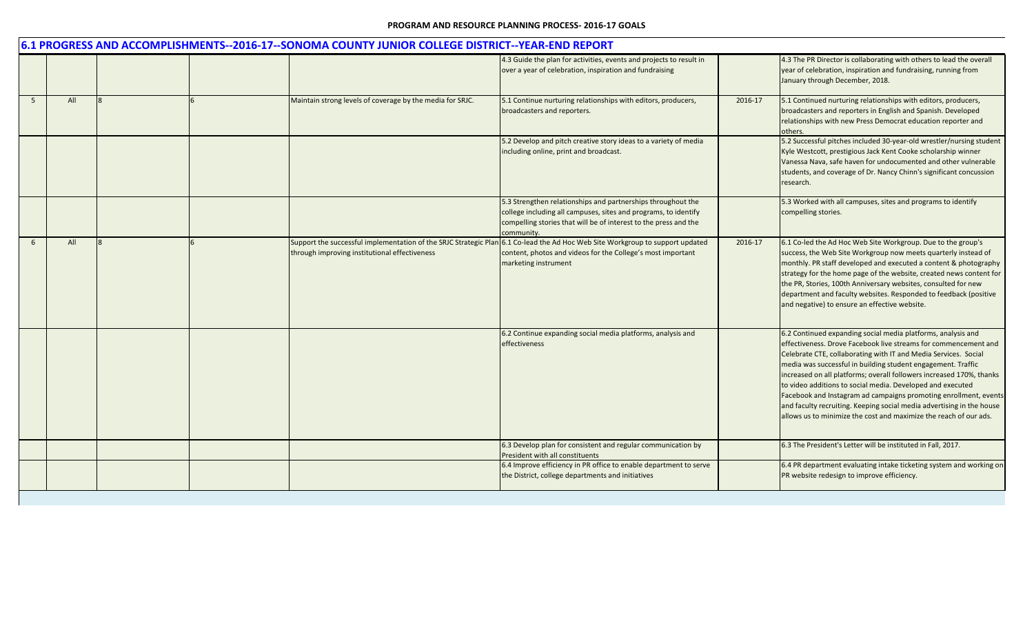|                |     |  | 6.1 PROGRESS AND ACCOMPLISHMENTS--2016-17--SONOMA COUNTY JUNIOR COLLEGE DISTRICT--YEAR-END REPORT                 |                                                                                                                                                                                                                   |         |                                                                                                                                                                                                                                                                                                                                                                                                                                                                                                                                                                                                                            |
|----------------|-----|--|-------------------------------------------------------------------------------------------------------------------|-------------------------------------------------------------------------------------------------------------------------------------------------------------------------------------------------------------------|---------|----------------------------------------------------------------------------------------------------------------------------------------------------------------------------------------------------------------------------------------------------------------------------------------------------------------------------------------------------------------------------------------------------------------------------------------------------------------------------------------------------------------------------------------------------------------------------------------------------------------------------|
|                |     |  |                                                                                                                   | 4.3 Guide the plan for activities, events and projects to result in<br>over a year of celebration, inspiration and fundraising                                                                                    |         | 4.3 The PR Director is collaborating with others to lead the overall<br>year of celebration, inspiration and fundraising, running from<br>January through December, 2018.                                                                                                                                                                                                                                                                                                                                                                                                                                                  |
| $\overline{5}$ | All |  | Maintain strong levels of coverage by the media for SRJC.                                                         | 5.1 Continue nurturing relationships with editors, producers,<br>broadcasters and reporters.                                                                                                                      | 2016-17 | 5.1 Continued nurturing relationships with editors, producers,<br>broadcasters and reporters in English and Spanish. Developed<br>relationships with new Press Democrat education reporter and<br>others.                                                                                                                                                                                                                                                                                                                                                                                                                  |
|                |     |  |                                                                                                                   | 5.2 Develop and pitch creative story ideas to a variety of media<br>including online, print and broadcast.                                                                                                        |         | 5.2 Successful pitches included 30-year-old wrestler/nursing student<br>Kyle Westcott, prestigious Jack Kent Cooke scholarship winner<br>Vanessa Nava, safe haven for undocumented and other vulnerable<br>students, and coverage of Dr. Nancy Chinn's significant concussion<br>research.                                                                                                                                                                                                                                                                                                                                 |
|                |     |  |                                                                                                                   | 5.3 Strengthen relationships and partnerships throughout the<br>college including all campuses, sites and programs, to identify<br>compelling stories that will be of interest to the press and the<br>community. |         | 5.3 Worked with all campuses, sites and programs to identify<br>compelling stories.                                                                                                                                                                                                                                                                                                                                                                                                                                                                                                                                        |
| 6              | All |  | Support the successful implementation of the SRJC Strategic Plan<br>through improving institutional effectiveness | 6.1 Co-lead the Ad Hoc Web Site Workgroup to support updated<br>content, photos and videos for the College's most important<br>marketing instrument                                                               | 2016-17 | 6.1 Co-led the Ad Hoc Web Site Workgroup. Due to the group's<br>success, the Web Site Workgroup now meets quarterly instead of<br>monthly. PR staff developed and executed a content & photography<br>strategy for the home page of the website, created news content for<br>the PR, Stories, 100th Anniversary websites, consulted for new<br>department and faculty websites. Responded to feedback (positive<br>and negative) to ensure an effective website.                                                                                                                                                           |
|                |     |  |                                                                                                                   | 6.2 Continue expanding social media platforms, analysis and<br>effectiveness                                                                                                                                      |         | 6.2 Continued expanding social media platforms, analysis and<br>effectiveness. Drove Facebook live streams for commencement and<br>Celebrate CTE, collaborating with IT and Media Services. Social<br>media was successful in building student engagement. Traffic<br>increased on all platforms; overall followers increased 170%, thanks<br>to video additions to social media. Developed and executed<br>Facebook and Instagram ad campaigns promoting enrollment, events<br>and faculty recruiting. Keeping social media advertising in the house<br>allows us to minimize the cost and maximize the reach of our ads. |
|                |     |  |                                                                                                                   | 6.3 Develop plan for consistent and regular communication by<br>President with all constituents                                                                                                                   |         | 6.3 The President's Letter will be instituted in Fall, 2017.                                                                                                                                                                                                                                                                                                                                                                                                                                                                                                                                                               |
|                |     |  |                                                                                                                   | 6.4 Improve efficiency in PR office to enable department to serve<br>the District, college departments and initiatives                                                                                            |         | 6.4 PR department evaluating intake ticketing system and working on<br>PR website redesign to improve efficiency.                                                                                                                                                                                                                                                                                                                                                                                                                                                                                                          |